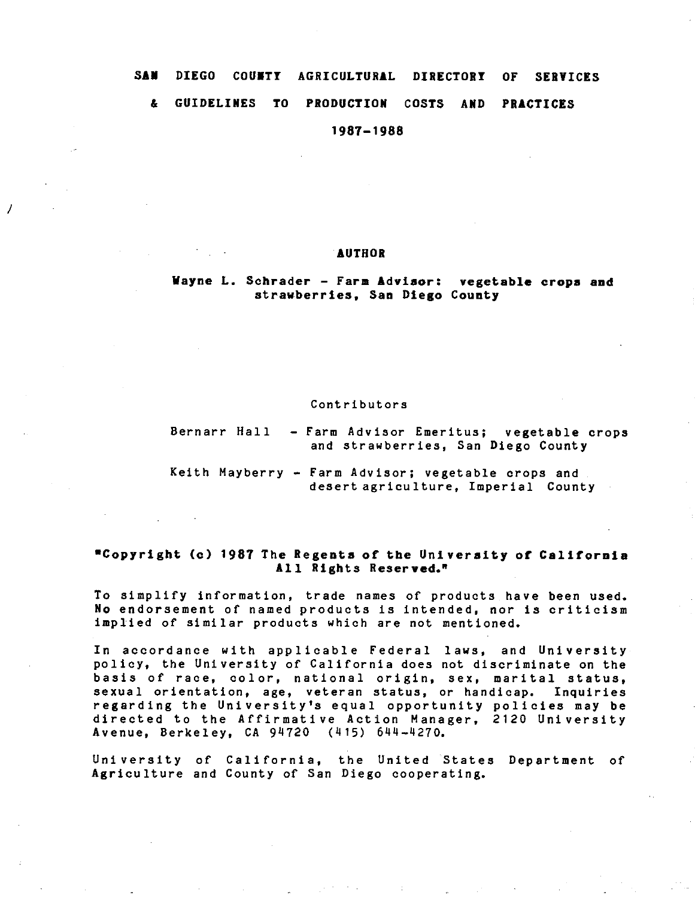# SAM DIEGO COUNTY AGRICULTURAL DIRECTORY OF SERVICES & GUIDELINES TO PRODUCTION COSTS AND PRACTICES

1987-1988

### AUTHOR

I

Wayne L. Schrader - Farm Advisor: vegetable crops and strawberries, San Diego County

### Contributors

Bernarr Hall - Farm Advisor Emeritus; vegetable crops and strawberries, San Diego County

Keith Mayberry - Farm Advisor; vegetable crops and desert agriculture, Imperial County

### •Copyright (c) 1987 The Regents of the University of California All Rights Reserved."

To simplify information, trade names of products have been used. No endorsement of named products is intended, nor is criticism implied of similar products which are not mentioned.

In accordance with applicable Federal laws, and University policy, the University of California does not discriminate on the basis of race, color, national origin, sex, marital status, sexual orientation, age, veteran status, or handicap. Inquiries regarding the University's equal opportunity policies may be directed to the Affirmative Action Manager, 2120 University Avenue, Berkeley, CA 94720 (415) 644-4270.

University of California, the United States Department of Agriculture and County of San Diego cooperating.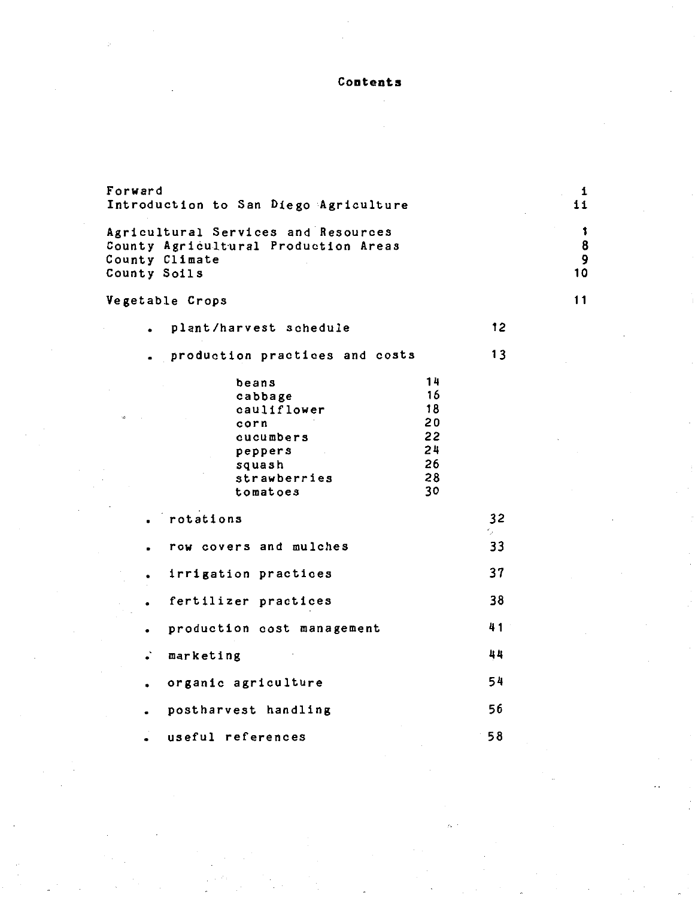**Contents** 

| Forward<br>Introduction to San Diego Agriculture                                                                                                            |                 | 1<br>ii           |
|-------------------------------------------------------------------------------------------------------------------------------------------------------------|-----------------|-------------------|
| Agricultural Services and Resources<br>County Agricultural Production Areas<br>County Climate<br>County Soils                                               |                 | 1<br>8<br>9<br>10 |
| Vegetable Crops                                                                                                                                             |                 | 11                |
| plant/harvest schedule                                                                                                                                      | 12 <sub>2</sub> |                   |
| production practices and costs                                                                                                                              | 13              |                   |
| 14<br>beans<br>16<br>cabbage<br>18<br>cauliflower<br>20<br>corn<br>22<br>cucumbers<br>24<br>peppers<br>26<br>squash<br>28<br>strawberries<br>30<br>tomatoes |                 |                   |
| rotations                                                                                                                                                   | 32<br>٠,        |                   |
| row covers and mulches                                                                                                                                      | 33              |                   |
| irrigation practices                                                                                                                                        | 37              |                   |
| fertilizer practices                                                                                                                                        | 38              |                   |
| production cost management<br>$\bullet$                                                                                                                     | 41              |                   |
| $\ddot{\cdot}$<br>marketing                                                                                                                                 | 44              |                   |
| organic agriculture<br>$\bullet$                                                                                                                            | 54              |                   |
| postharvest handling<br>$\bullet$                                                                                                                           | 56              |                   |
| useful references                                                                                                                                           | 58              |                   |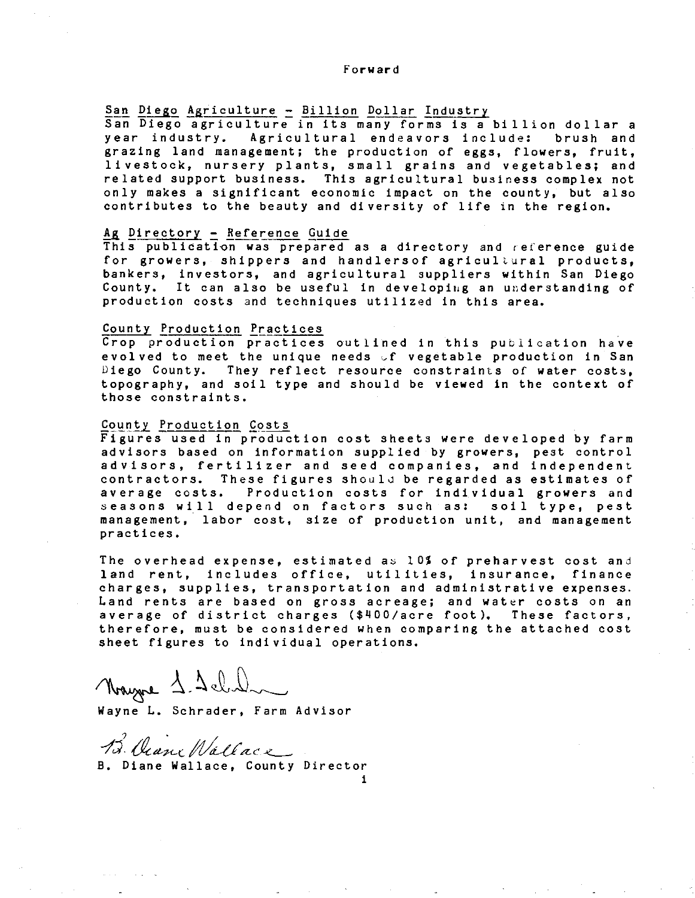### Forward

# San Diego Agriculture - Billion Dollar Industry

San Diego agriculture in its many forms is a billion dollar a<br>year industry. Agricultural endeavors include: brush and year industry. Agricultural endeavors include: grazing land management; the production of eggs, flowers, fruit, livestock, nursery plants, small grains and vegetables; and related support business. This agricultural business complex not only makes a significant economic impact on the county, but also contributes to the beauty and diversity of life in the region.

### Ag Directory - Reference Guide

This publiaation was prepared as a directory and reference guide for growers, shippers and handlersof agricultural products, bankers, investors, and agricultural suppliers within San Diego County. It can also be useful in developiug an understanding of production costs and techniques utilized in this area.

### County Production Practices

Crop production practices outlined in this publication have evolved to meet the unique needs vf vegetable production in San Diego County. They reflect resource constraints of water costs, topography, and soil type and should be viewed in the context of those constraints.

### County Production Costs

Figures used in production cost sheets were developed by farm advisors based on information supplied by growers, pest control advisors, fertilizer and seed companies, and independent contractors. These figures should be regarded as estimates of average costs. Production costs for individual growers and seasons will depend on factors such as: soil type, pest management, labor cost, size of production unit, and management practices.

The overhead expense, estimated as 10% of preharvest cost and land rent, includes office, utilities, insurance, finance charges, supplies, transportation and administrative expenses. Land rents are based on gross acreage; and water costs on an average of district charges (\$400/acre foot). These factors, therefore, must be considered when comparing the attached cost sheet figures to individual operations.

i

Nayne 1.1 chili

Wayne L. Schrader, Farm Advisor

B. Viane Wallace B. Diane Wallace, County Director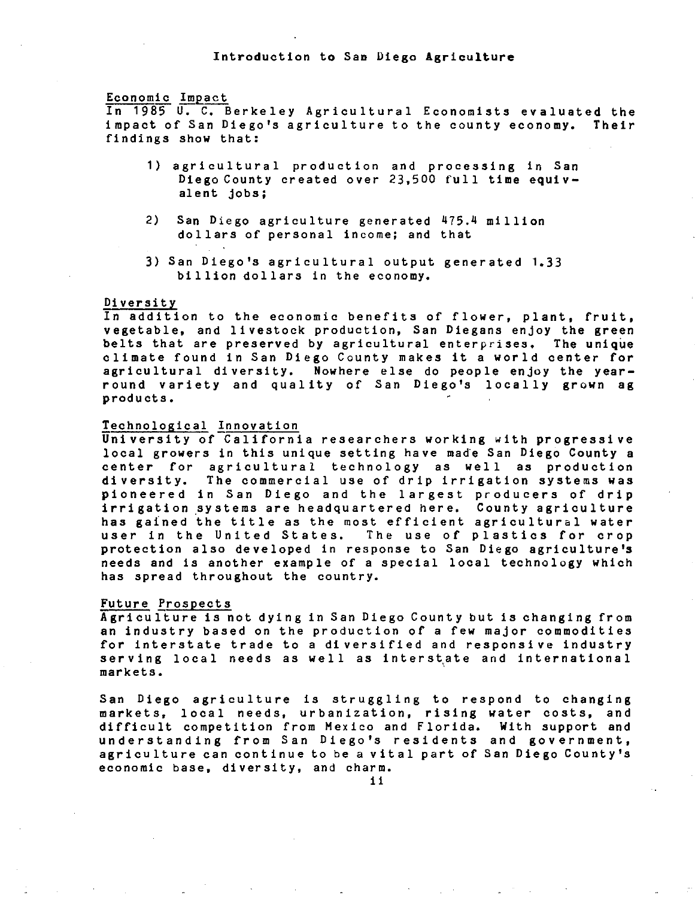### Economic Impact

In 1985 U. c. Berkeley Agricultural Economists evaluated the impact of San Diego's agriculture to the county economy. Their findings show that:

- 1) agricultural production and processing in San Diego County created over 23,500 full time equivalent jobs;
- 2) San Diego agriculture generated 475.4 million dollars of personal income; and that
- 3) San Diego's agricultural output generated 1.33 billion dollars in the economy.

### Diversity

In addition to the economic benefits of flower, plant, fruit, vegetable, and livestock production, San Diegans enjoy the green belts that are preserved by agricultural enterprises. The unique climate found in San Diego County makes it a world center for agricultural diversity. Nowhere else do people enjoy the yearround variety and quality of San Diego's locally grown ag products.

### Technological Innovation

University of California researchers working with progressive local growers in this unique setting have made San Diego County a center for agricultural technology as well as production diversity. The commercial use of drip irrigation systems was pioneered in San Diego and the largest producers of drip irrigation systems are headquartered here. County agriculture irrigation systems are neadquartered nere. County agriculture<br>has gained the title as the most efficient agricultural water user in the United States. The use of plastics for crop protection also developed in response to San Diego agriculture's needs and is another example of a special local technology which has spread throughout the country.

### Future Prospects

Agriculture is not dying in San Diego County but is changing from an industry based on the production of a few major commodities for interstate trade to a diversified and responsive industry serving local needs as well as interstate and international markets.

San Diego agriculture is struggling to respond to changing markets, local needs, urbanization, rising water costs, and difficult competition from Mexico and Florida. With support and understanding from San Diego's residents and government, agriculture can continue to be a vital part of San Diego County's economic base, diversity, and charm.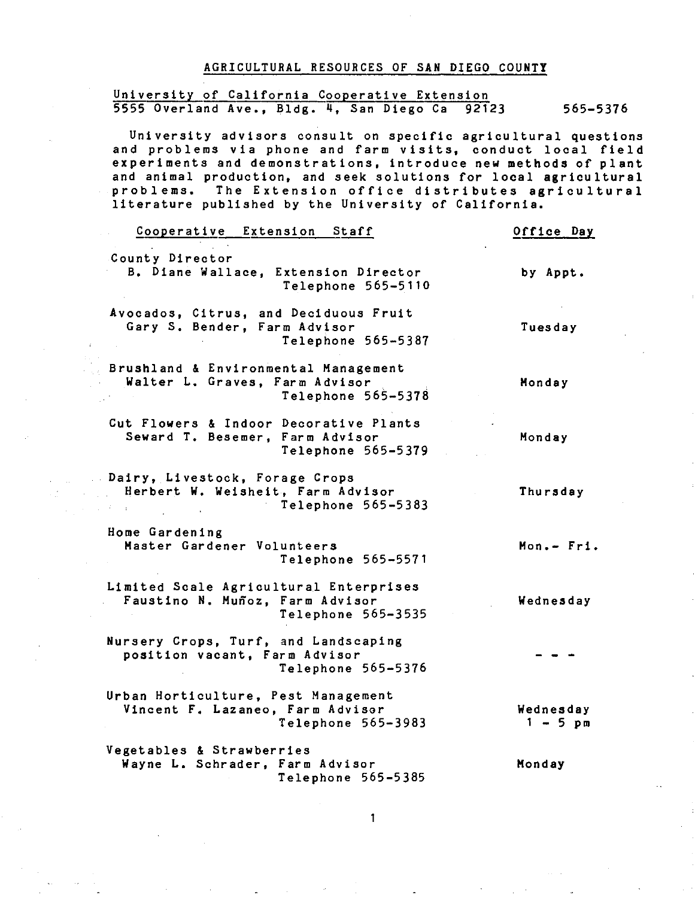### AGRICULTURAL RESOURCES OF SAN DIEGO COUNTY

# University of California Cooperative Extension 5555 Overland Ave., Bldg. 4, San Diego Ca 92123 565-5376

University advisors consult on specific agricultural questions and problems via phone and farm visits, conduct local field experiments and demonstrations, introduce new methods of plant and animal production, and seek solutions for local agricultural problems. The Extension office distributes agricultural literature published by the University of California.

| Cooperative Extension Staff                                                                     | Office Day              |
|-------------------------------------------------------------------------------------------------|-------------------------|
| County Director<br>B. Diane Wallace, Extension Director<br>Telephone 565-5110                   | by Appt.                |
| Avocados, Citrus, and Deciduous Fruit<br>Gary S. Bender, Farm Advisor<br>Telephone 565-5387     | Tuesday                 |
| Brushland & Environmental Management<br>Walter L. Graves, Farm Advisor<br>Telephone 565-5378    | Monday                  |
| Cut Flowers & Indoor Decorative Plants<br>Seward T. Besemer, Farm Advisor<br>Telephone 565-5379 | Monday                  |
| Dairy, Livestock, Forage Crops<br>Herbert W. Weisheit, Farm Advisor<br>Telephone 565-5383       | Thursday                |
| Home Gardening<br>Master Gardener Volunteers<br>Telephone 565-5571                              | Mon.- Fri.              |
| Limited Scale Agricultural Enterprises<br>Faustino N. Muñoz, Farm Advisor<br>Telephone 565-3535 | Wednesday               |
| Nursery Crops, Turf, and Landscaping<br>position vacant, Farm Advisor<br>Telephone 565-5376     |                         |
| Urban Horticulture, Pest Management<br>Vincent F. Lazaneo, Farm Advisor<br>Telephone 565-3983   | Wednesday<br>$1 - 5$ pm |
| Vegetables & Strawberries<br>Wayne L. Schrader, Farm Advisor<br>Telephone 565-5385              | Monday                  |
|                                                                                                 |                         |

 $\mathcal{L}(\frac{1}{2\pi})$  .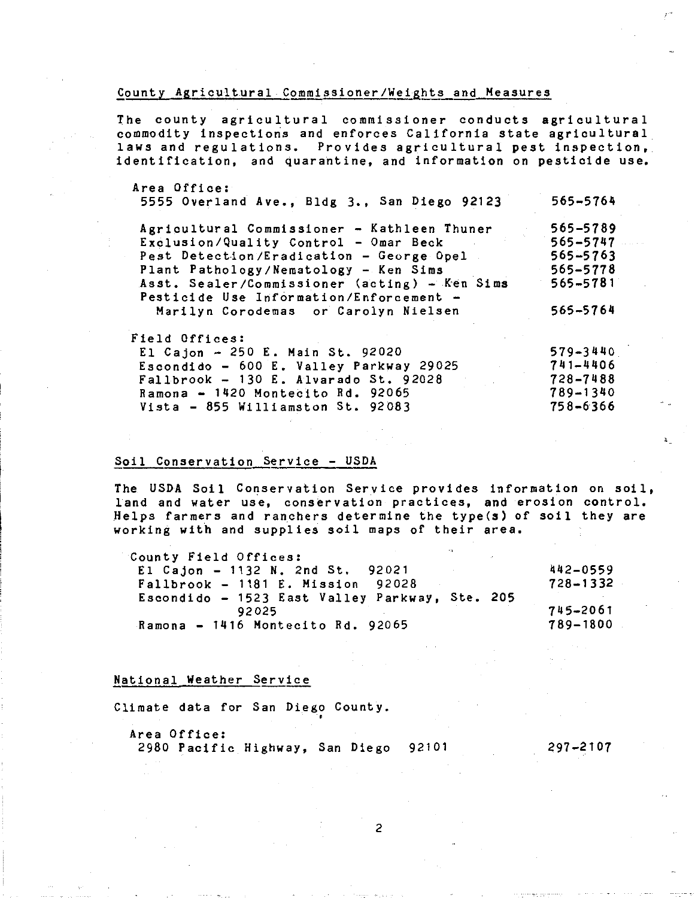### County Aaricultural Commissioner/Weights and Measures

The county agricultural commissioner conducts agricultural commodity inspections and enforces California state agricultural laws and regulations. Provides agricultural pest inspection, identification, and quarantine, and information on pesticide use.

| Area Office:                                  |          |
|-----------------------------------------------|----------|
| 5555 Overland Ave., Bldg 3., San Diego 92123  | 565-5764 |
| Agricultural Commissioner - Kathleen Thuner   | 565-5789 |
| Exclusion/Quality Control - Omar Beck         | 565-5747 |
| Pest Detection/Eradication - George Opel      | 565-5763 |
| Plant Pathology/Nematology - Ken Sims         | 565-5778 |
| Asst. Sealer/Commissioner (acting) - Ken Sims | 565-5781 |
| Pesticide Use Information/Enforcement -       |          |
| Marilyn Corodemas or Carolyn Nielsen          | 565-5764 |
| Field Offices:                                |          |
| El Cajon - 250 E. Main St. 92020              | 579-3440 |
| Escondido - 600 E. Valley Parkway 29025       | 741-4406 |
| Fallbrook - $130$ E. Alvarado St. 92028       | 728-7488 |
| Ramona $-$ 1420 Montecito Rd. 92065           | 789-1340 |
|                                               |          |

### Soil Conservation Service - USDA

Vista - 855 Williamston St. 92083

The USDA Soil Conservation Service provides information on soil, land and water use, conservation practices, and erosion control. Helps farmers and ranchers determine the type(s) of soil they are working with and supplies soil maps of their area.

758-6366

| County Field Offices:                          |              |
|------------------------------------------------|--------------|
| El Cajon - 1132 N. 2nd St. 92021               | 442-0559     |
| $Fallbrook - 1181 E. Mission 92028$            | $728 - 1332$ |
| Escondido - 1523 East Valley Parkway, Ste. 205 |              |
| 92025                                          | 745-2061     |
| Ramona - 1416 Montecito Rd. 92065              | 789-1800     |

### National Weather Service

Climate data for San Diego County. •

Area Office: 2980 Pacific Highway, San Diego 92101 297-2107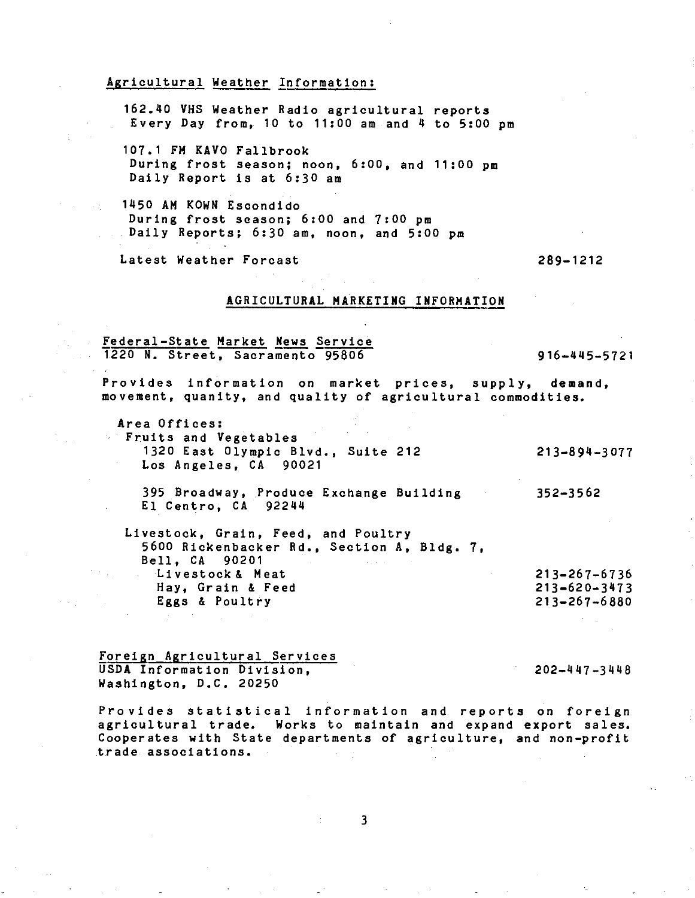### Agricultural Weather Information:

162.40 VHS Weather Radio agricultural reports Every Day from,  $10$  to  $11:00$  am and  $4$  to  $5:00$  pm

107.1 FM KAVO Fallbrook During frost season; noon, 6:00, and 11:00 pm Daily Report is at 6:30 am

1450 AM KOWN Escondido During frost season; 6:00 and 7:00 pm Daily Reports; 6:30 am, noon, and 5:00 pm

Latest Weather Forcast

 $\sim 10^{11}$  m  $^{-1}$ 

### 289-1212

### AGRICULTURAL MARKETING INFORMATION

Federal-State Market News Service 1220 N. Street, Sacramento 95806

916-445-5721

Provides information on market prices, supply, demand, movement, quanity, and quality of agricultural commodities.

Area Offices: Fruits and Vegetables 1320 East Olympic Blvd., Suite 212 Los Angeles, CA 90021 213-894-3077

395 Broadway, Produce Exchange Building El Centro, CA 92244 352-3562

Livestock, Grain, Feed, and Poultry 5600 Rickenbacker Rd., Section A, Bldg. 7, Bell, CA 90201 Livestock& Meat Hay, Grain & Feed Eggs & Poultry

Foreign Agricultural Services USDA Information Division, Washington, D.C. 20250

202-447-3448

213-267-6736 213-620-3473 213-267-6880

Provides statistical information and reports on foreign agricultural trade. Works to maintain and expand export sales. Cooperates with State departments of agriculture, and non-profit trade associations.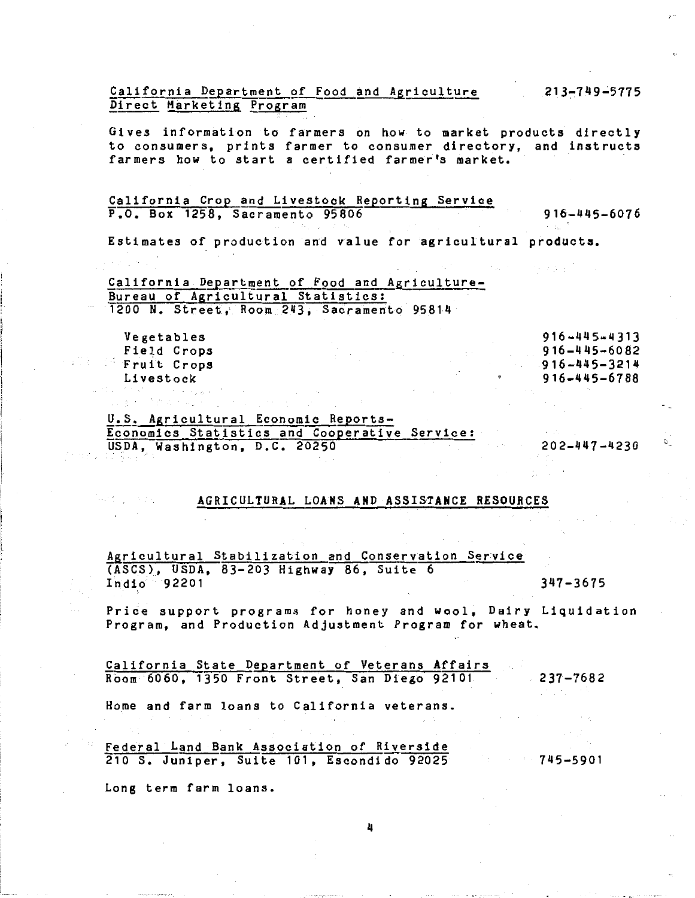Gives information to farmers on how to market products directly to consumers, prints farmer to consumer directory, and instructs farmers how to start a certified farmer's market.

### California Crop and Livestock Reporting Service P.O. Box 1258, Sacramento 95806 916-445-6076

Estimates of production and value for agricultural products.

California Department of Food and Agriculture-Bureau of Agricultural Statistics: 1200 N. Street, Room 243, Sacramento 95814

|        | Vegetables  |  |  | 916-445-4313       |
|--------|-------------|--|--|--------------------|
|        | Field Crops |  |  | $916 - 445 - 6082$ |
| is Cit | Fruit Crops |  |  | $916 - 445 - 3214$ |
|        | Livestock   |  |  | 916-445-6788       |
|        |             |  |  |                    |

U.S. Agricultural Economic Reports-Economics Statistics and Cooperative Service: USDA, Washington, D.C. 20250

202-447-4230

ù\_

### AGRICULTURAL LOANS AND ASSISTANCE RESOURCES

Agricultural Stabilization and Conservation Service (ASCS), USDA, 83-203 Highway 86, Suite 6 Indio 92201 347-3675

Price support programs for honey and wool, Dairy Liquidation Program, and Production Adjustment Program for wheat.

California State Department of Veterans Affairs Room 6060, 1350 Front Street, San Diego 92101 237-7682

Home and farm loans to California veterans.

Federal Land Bank Association of Riverside 210 s. Juniper, Suite 101, Escondido 92025

745-5901

Long term farm loans.

Santa Contract

213-749-5775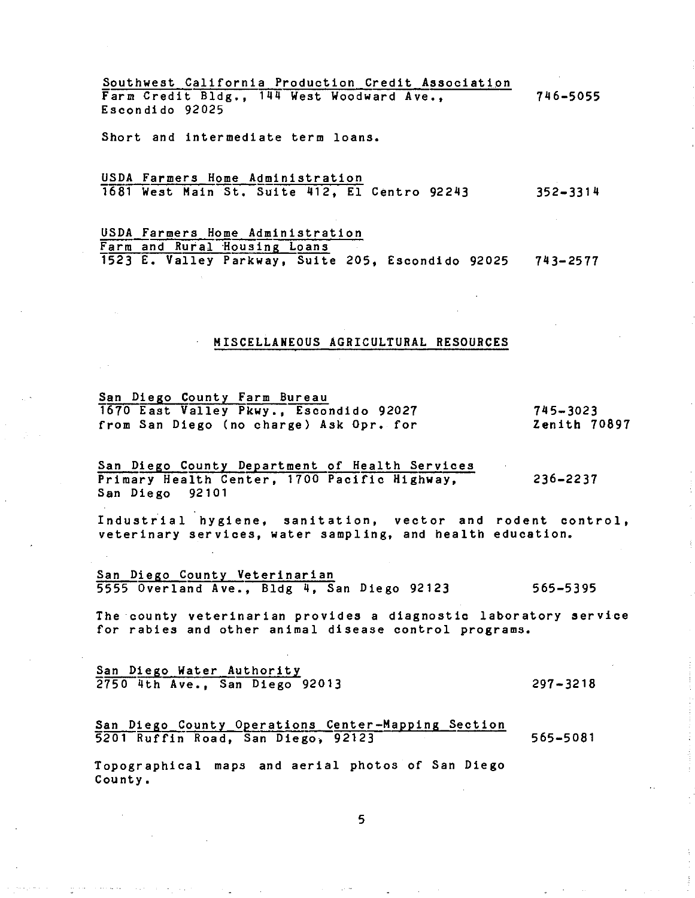Southwest California Production Credit Association Farm Credit Bldg., 144 West Woodward Ave., Escondido 92025 7116-5055

Short and intermediate term loans.

USDA Farmers Home Administration 1681 West Main St. Suite 412, El Centro 92243 352-3314

USDA Farmers Home Administration Farm and Rural Housing Loans 1523 E. Valley Parkway, Suite 205, Escondido 92025 743-2577

### MISCELLANEOUS AGRICULTURAL RESOURCES

San Diego County Farm Bureau 1670 East Valley Pkwy., Escondido 92027 from San Diego (no charge) Ask Opr. for

745-3023 Zenith 70897

San Diego County Department of Health Services Primary Health Center, 1700 Pacific Highway, San Diego 92101 236-2237

Industrial hygiene, sanitation, vector and rodent control, veterinary services, water sampling, and health education.

San Diego County Veterinarian 5555 Overland Ave., Bldg 4, San Diego 92123 565-5395

The county veterinarian provides a diagnostic laboratory service for rabies and other animal disease control programs.

San Diego Water Authority 2750 4th Ave., San Diego 92013

, which is set to say that the same  $\lambda$  , where  $\lambda$  is a sample  $\lambda$ 

297-3218

### San Diego County Operations Center-Mapping Section 5201 Ruffin Road, San Diego, 92123 565-5081

Topographical maps and aerial photos of San Diego County.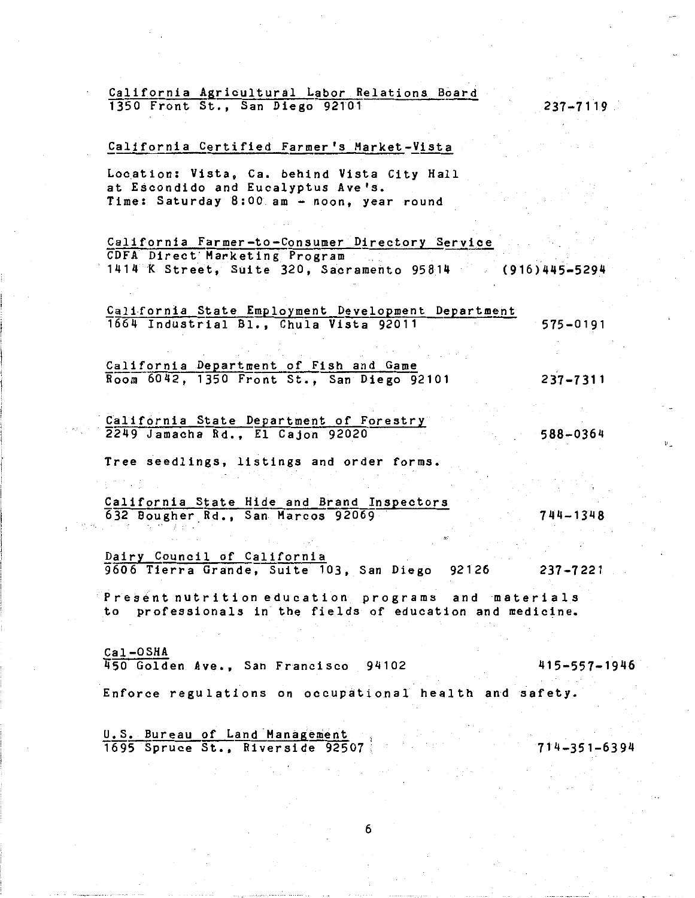### California Agricultural Labor Relations Board 1350 Front St., San Diego 92101

<u>California Certified Farmer's Market-Vista</u><br>Location: Vista, Ca. behind Vista City Hall at Escondido and Eucalyptus Ave's. Time: Saturday 8:00 am - noon, year round

California Farmer-to-Consumer Directory Service CDFA Direct Marketing Program 1414 *K* Street, Suite 320, Sacramento 95814 (916)445-5294

California State Employment Development Department 1664 Industrial Bl., Chula Vista 92011 575-0191

California Department of Fish and Game Room 6042, 1350 Front St., San Diego 92101 237-7311

California State Department of Forestry 2249 Jamacha Rd., El Cajon 92020

Tree seedlings, listings and order forms.

California State Hide and Brand Inspectors 632 Bougher.Rd., San Marcos 92069

Dairy Council of California 9606 Tierra Grande, Suite 103, San Diego 92126 237-7221

Present nutrition education programs and materials to professionals in the fields of education and medicine.

Cal -OSHA 450 Golden Ave., San Francisco 94102 415-557-1946

Enforce regulations on occupational health and safety.

6

U.S. Bureau of Land Management T695 Spruce St., Riverside 92507 714-351-6394

 $237 - 7119$ 

588-0364

744-1348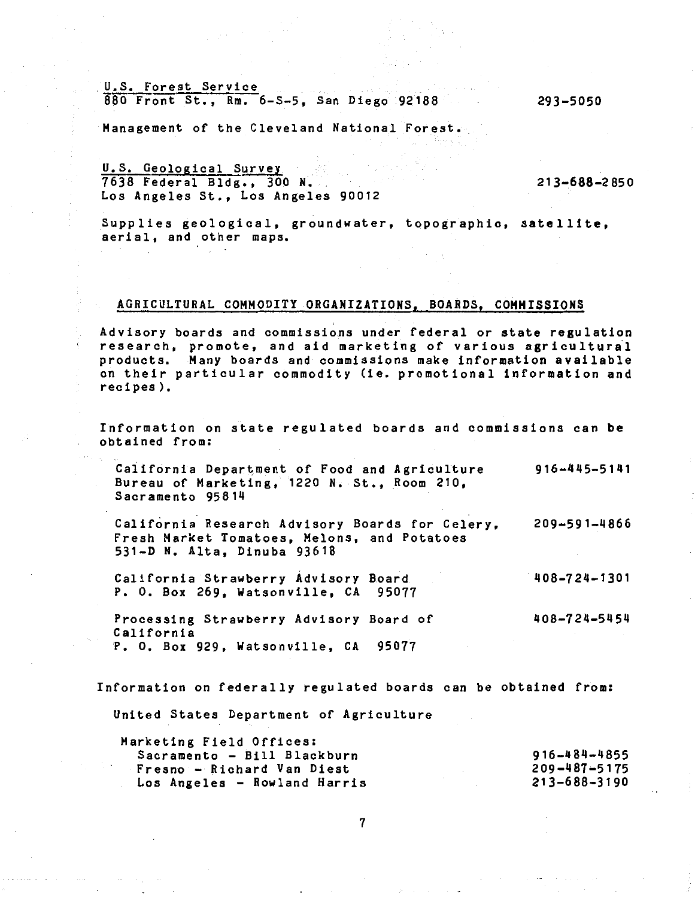U.S. Forest Service S80 Front St,, Rm. 6-S-5, San Diego 92188 293-5050

Management of the Cleveland National Forest.

U.S. Geological Survey 7638 Federal Bldg., 300 N. Los Angeles St., Los Angeles 90012

213-688-2850

Supplies geological, groundwater, topographic, satellite, aerial, and other maps.

# AGRICULTURAL COMMODITY ORGANIZATIONS, BOARDS, COMMISSIONS

Advisory boards and commissions under federal or state regulation research, promote, and aid marketing of various agricultural products. Many boards and commissions make information available on their particular commodity lie. promotional information and recipes).

Information on state regulated boards and commissions can be obtained from:

California Department of Food and Agriculture Bureau of Marketing, 1220 N. St,, Room 210, Sacramento 95814 916-445-5141

California Research Advisory Boards for Celery,  $209 - 591 - 4866$ Fresh Market Tomatoes, Melons, and Potatoes 531-D N, Alta, Dinuba 93618

California Strawberry Advisory Board P, 0, Box 269, Watsonville, CA 95077 408-724-1301

Processing Strawberry Advisory Board of California P. O. Box 929, Watsonville, CA 95077 408-724-5454

Information on federally regulated boards can be obtained from:

United States Department of Agriculture

| Marketing Field Offices:     |                    |
|------------------------------|--------------------|
| Sacramento - Bill Blackburn  | $916 - 484 - 4855$ |
| Fresno - Richard Van Diest   | $209 - 487 - 5175$ |
| Los Angeles - Rowland Harris | $213 - 688 - 3190$ |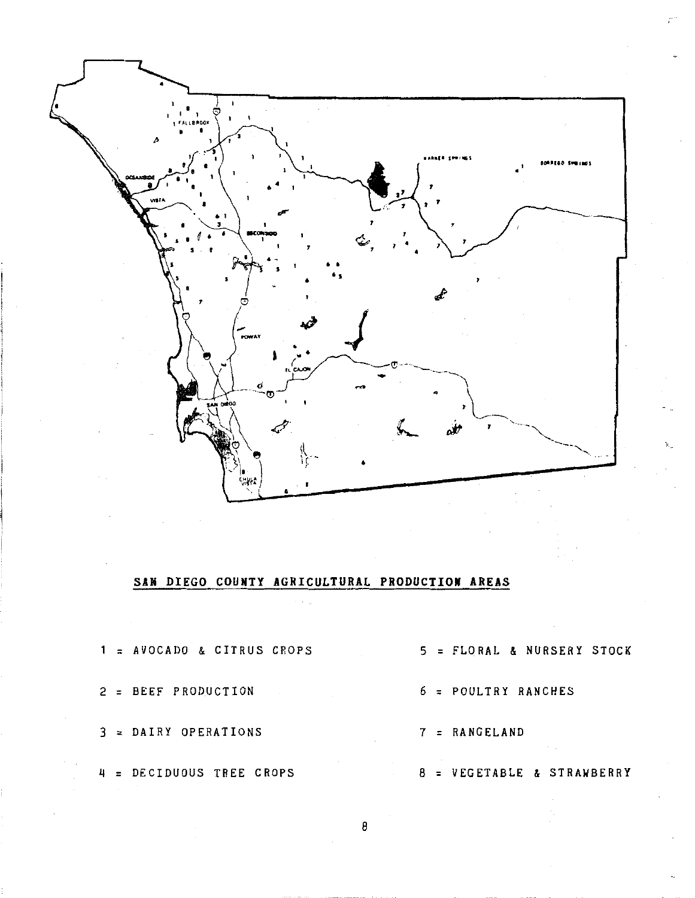

# SAN DIEGO COUNTY AGRICULTURAL PRODUCTION AREAS

|  | $1 = AVOCADO & CITRUS CROPS$ |  | 5 = FLORAL & NURSERY STOCK |
|--|------------------------------|--|----------------------------|
|  | 2 = BEEF PRODUCTION          |  | $6 =$ POULTRY RANCHES      |
|  | 3 = DAIRY OPERATIONS         |  | $7 = RANGELAND$            |
|  | 4 = DECIDUOUS TREE CROPS     |  | 8 = VEGETABLE & STRAWBERRY |

 $\overline{8}$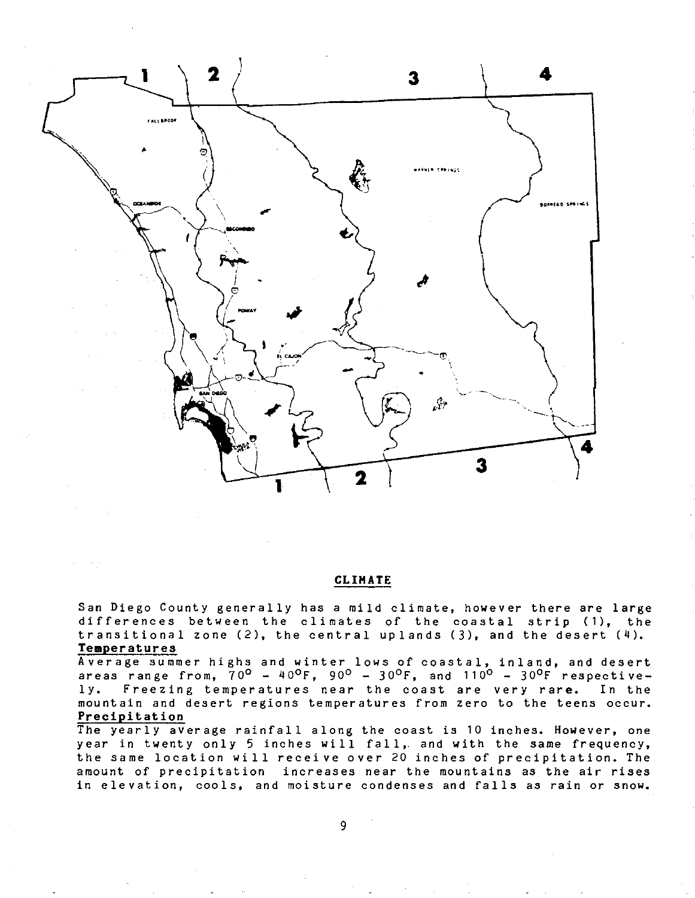

### CLIMATE

San Diego County generally has a mild climate, however there are large differences between the climates of the coastal strip (1), the transitional zone  $(2)$ , the central uplands  $(3)$ , and the desert  $(4)$ . Temperatures

Average summer highs and winter lows of coastal, inland, and desert areas range from,  $70^{\circ}$  -  $40^{\circ}$ F,  $90^{\circ}$  -  $30^{\circ}$ F, and  $110^{\circ}$  -  $30^{\circ}$ F respective-Freezing temperatures near the coast are very rare.  $1y.$ In the mountain and desert regions temperatures from zero to the teens occur. Precipitation

The yearly average rainfall along the coast is 10 inches. However, one year in twenty only 5 inches will fall, and with the same frequency, the same location will receive over 20 inches of precipitation. The amount of precipitation increases near the mountains as the air rises in elevation, cools, and moisture condenses and falls as rain or snow.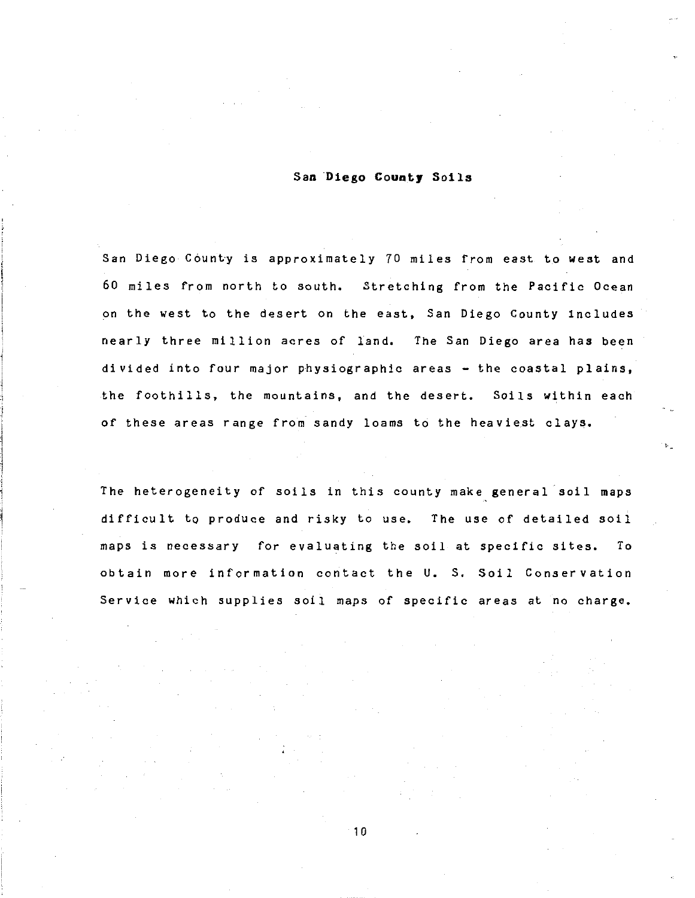### San **Diego County** Soila

San Diego County is approximately 70 miles from east to west and 60 miles from north to south. Stretching from the Pacific Ocean on the west to the desert on the east, San Diego County includes nearly three million acres of land. The San Diego area has been divided into four major physiographic areas  $-$  the coastal plains, the foothills, the mountains, and the desert. Soils within each of these areas range from sandy loams to the heaviest clays.

•

The heterogeneity of soils in this county make general soil maps difficult to produce and risky to use. The use of detailed soil maps is necessary for evaluating the soil at specific sites. To obtain more information contact the U. s. Soil Conservation Service which supplies soil maps of specific areas at no charge.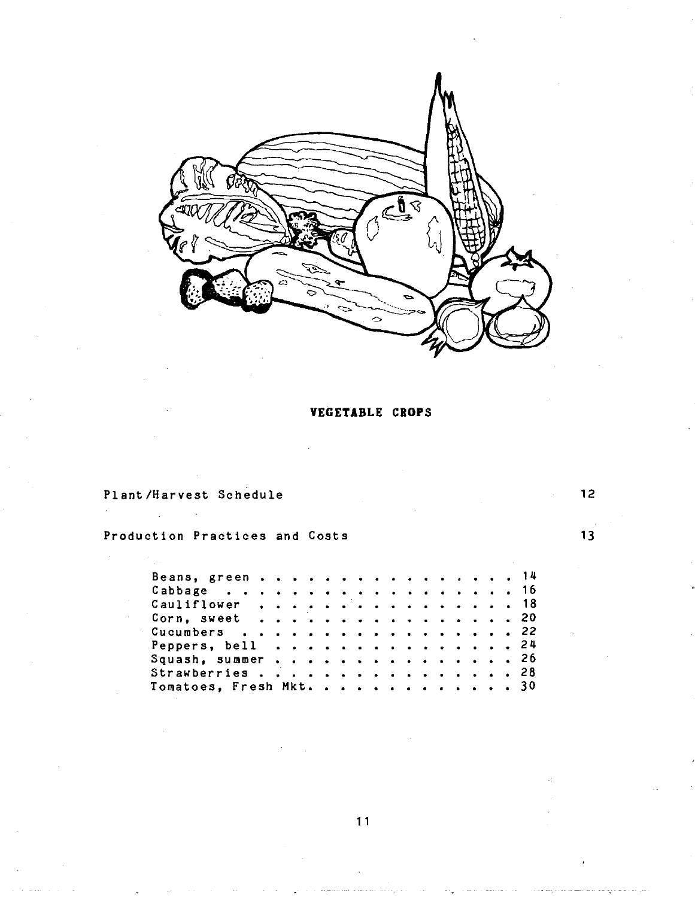

**VEGETABLE CROPS** 

Plant/Harvest Schedule

Production Practices and Costs

| Beans, green 14         |  |  |  |  |  |  |  |  |  |
|-------------------------|--|--|--|--|--|--|--|--|--|
| Cabbage 16              |  |  |  |  |  |  |  |  |  |
| Cauliflower, 18         |  |  |  |  |  |  |  |  |  |
| Corn, sweet 20          |  |  |  |  |  |  |  |  |  |
| Cucumbers 22            |  |  |  |  |  |  |  |  |  |
| Peppers, bell 24        |  |  |  |  |  |  |  |  |  |
| Squash, summer 26       |  |  |  |  |  |  |  |  |  |
| Strawberries 28         |  |  |  |  |  |  |  |  |  |
| Tomatoes, Fresh Mkt. 30 |  |  |  |  |  |  |  |  |  |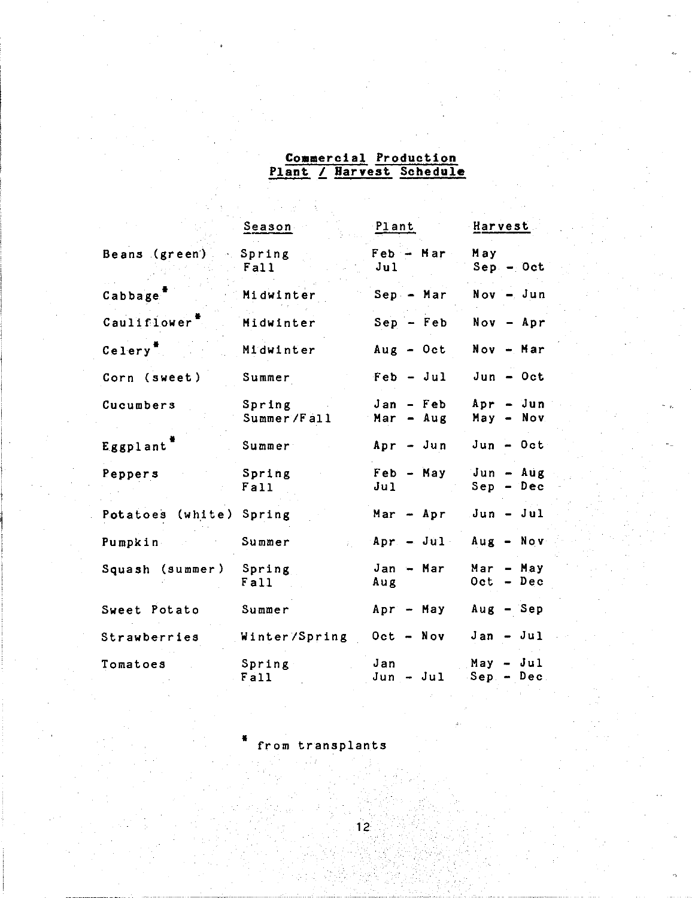# **Commercial Production Plant L Harvest Schedule**

|                             | Se <u>ason</u>          | Plant                           | Harvest                     |
|-----------------------------|-------------------------|---------------------------------|-----------------------------|
| Beans (green) Spring        | Fall                    | Feb - Mar<br>J <sub>u1</sub>    | May<br>$Sep - Oct$          |
| Cabbage <sup>7</sup>        | Midwinter               | $Sep - Mar$                     | $Now - Jun$                 |
| Cauliflower <sup>"</sup>    | Midwinter               | $Sep - Feb$                     | $Now - Apr$                 |
| $C_{\rm e}$ lery $^{\pi}$ . | Midwinter               | $Aug - Oct$                     | $Now - Mar$                 |
| Corn (sweet)                | Summer                  | $Feb - Jul$                     | $Jun - Oct$                 |
| Cucumbers                   | Spring<br>Summer/Fall   | Jan - Feb<br>Mar - Aug          | $Apr - Jun$<br>$May - Nov.$ |
| Eggplant                    | Summer                  | $Apr - Jun$                     | $Jun - Oct$                 |
| Peppers                     | Spring<br>Fall          | Feb - May<br>J <sub>u1</sub>    | Jun - Aug<br>Sep - Dec      |
| Potatoes (white) Spring     |                         | Mar $-$ Apr $Jun - Jul$         |                             |
| Pumpkin                     | Summer                  | $Apr. - Jul. Aug. - Nov.$       |                             |
| Squash (summer) Spring      | Fall                    | $Jan - Mar$<br>Aug              | $Mar - May$<br>$Oct - Dec$  |
| Sweet Potato                | Summer                  | Apr - May Aug - Sep             |                             |
| Strawberries                | Winter/Spring Oct - Nov |                                 | $Jan - Jul$                 |
| Tomatoes                    | Spring<br>Fail          | Jan<br>$Jun - Jul$ Sep $-$ Dec. | May - Jul                   |

from transplants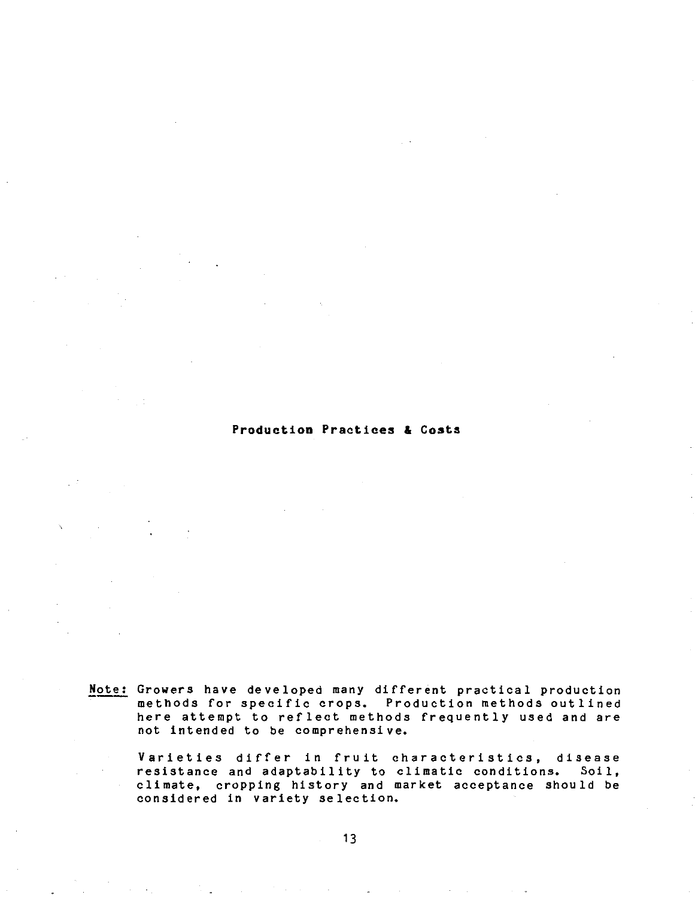### **Production Practices & Costs**

Note: Growers have developed many different practical production methods for specific crops. Production methods outlined here attempt to reflect methods frequently used and are not intended to be comprehensive.

Varieties differ in fruit characteristics, disease resistance and adaptability to climatic conditions. Soil, climate, cropping history and market acceptance should be considered in variety selection.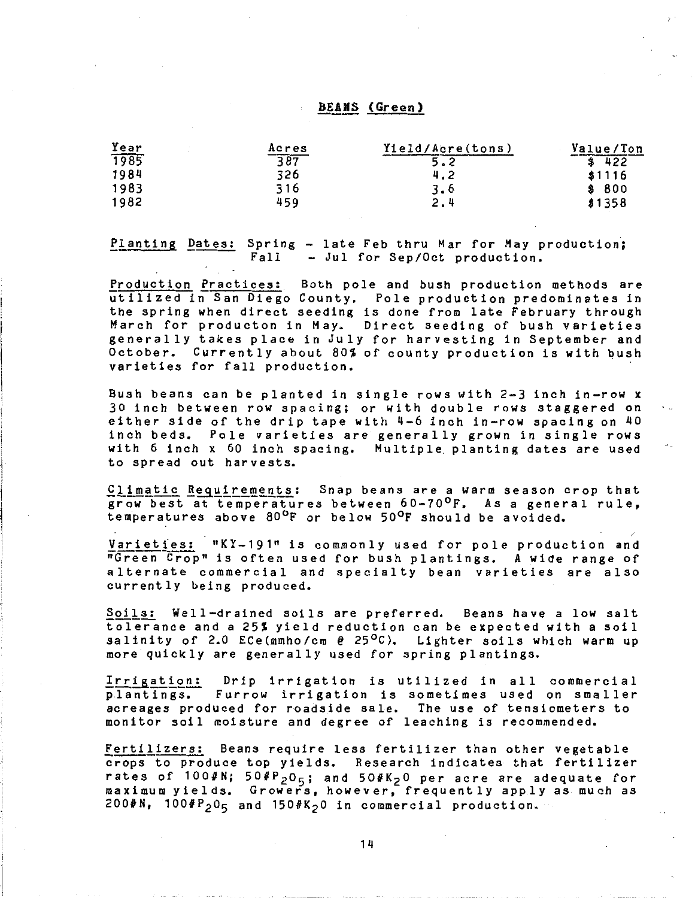### BEANS (Green)

| Year | Acres | Yield/Acre(tons) | Value/Ton |
|------|-------|------------------|-----------|
| 1985 | 387   | ⌒                | 422       |
| 1984 | 326   | 4.2              | \$1116    |
| 1983 | 316   | 3.6              | \$800     |
| 1982 | 459   | 2.4              | \$1358    |

Planting Dates: Spring - late Feb thru Mar for May production; Fall - Jul for Sep/Oct production.

Production Practices: Both pole and bush production methods are utilized in San Diego County. Pole production predominates in the spring when direct seeding is done from late February through March for producton in May. Direct seeding of bush varieties generally takes place in July for harvesting in September and October. Currently about 80% of county production is with bush varieties for fall production.

Bush beans can be planted in single rows with 2-3 inch in-row x 30 inch between row spacing; or with double rows staggered on either side of the drip tape with  $4-6$  inch in-row spacing on  $40$ inch beds. Pole varieties are generally grown in single rows with 6 inch x 60 inch spacing. Multiple planting dates are used to spread out harvests.

Climatic Requirements: Snap beans are a warm season crop that grow best at temperatures between 60-70°F. As a general rule, temperatures above 80°F or below 50°F should be avoided.

Varieties: "KY-191" is commonly used for pole production and "Green Crop" is often used for bush plantings. A wide range of alternate commercial and specialty bean varieties are also currently being produced.

Soils: Well-drained soils are preferred. Beans have a low salt tolerance and a 25% yield reduction can be expected with a soil salinity of 2.0 ECe(mmho/cm  $e$  25°C). Lighter soils which warm up more quickly are generally used for spring plantings.

Irrigation: Drip irrigation is utilized in all commercial ed the action. The integration is actified in all commercial plantings. Furrow irrigation is sometimes used on smaller acreages produced for roadside sale. The use of tensiometers to monitor soil moisture and degree of leaching is recommended.

Fertilizers: Beans require less fertilizer than other vegetable crops to produce top yields. Research indicates that fertilizer rates of  $1004N$ ;  $504P_2O_5$ ; and  $504K_2O$  per acre are adequate for maximum yields. Growers, however, frequently apply as much as  $200$ #N,  $100$  $4P_2$ O<sub>5</sub> and  $150$  $4K_2$ O in commercial production.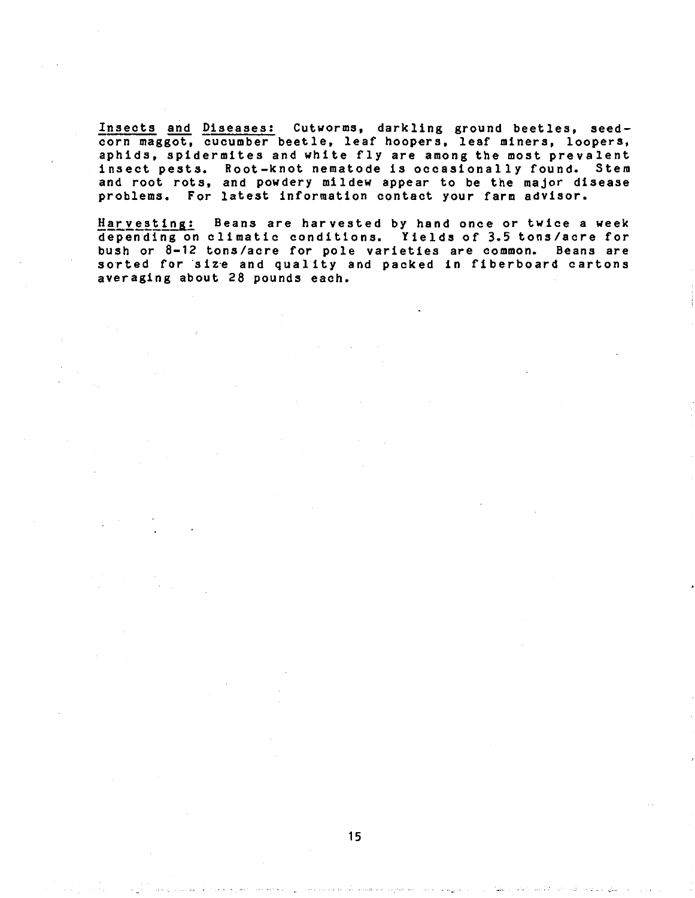Insects and Diseases: Cutworms, darkling ground beetles, seedcorn maggot, cucumber beetle, leaf hoopers, leaf miners, loopers, aphids, spidermites and white fly are among the most prevalent insect pests. Root-knot nematode is occasionally found. Stem and root rots, and powdery mildew appear to be the major disease problems. For latest information contact your farm advisor.

Harvesting: Beans are harvested by hand once or twice a week depending on climatic conditions. Yields of 3.5 tons/acre for bush or 8-12 tons/acre for pole varieties are common. Beans are sorted for size and quality and packed in fiberboard cartons averaging about 28 pounds each.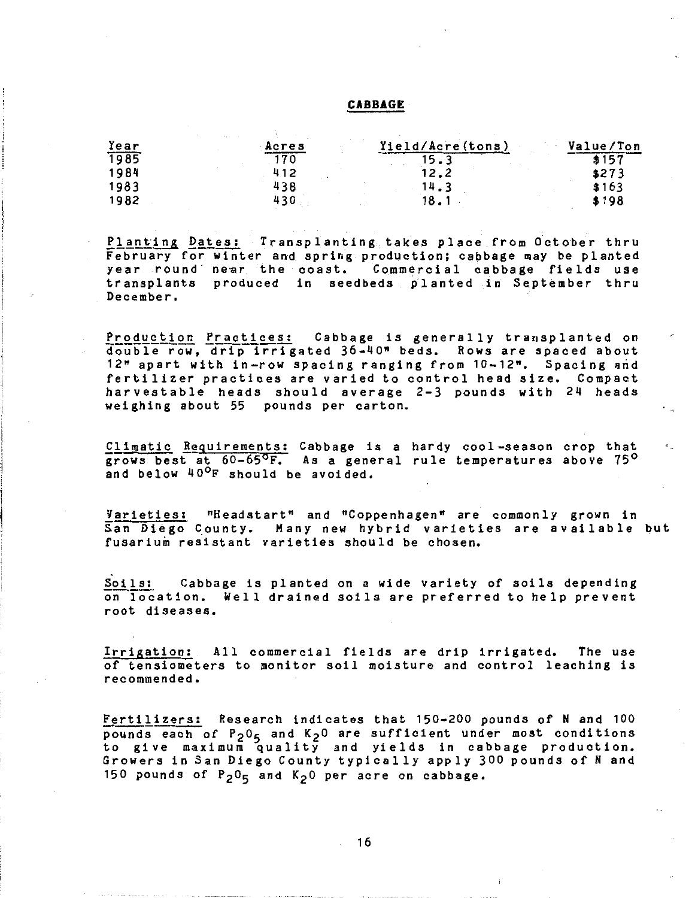### **CABBAGE**

| Year | Acres | Yield/Acre(tons) | Value/Ton |
|------|-------|------------------|-----------|
| 1985 | 70    |                  | 4157      |
| 1984 | 412   | 12.2             | \$273     |
| 1983 | 438   | 14.3             | \$163     |
| 1982 | 430   | 18.              | \$198     |

Planting Dates: Transplanting takes place from October thru February for winter and spring production; cabbage may be planted year round near the coast. Commercial cabbage fields use transplants produced in seedbeds planted in September thru December.

Production Practices: Cabbage is generally transplanted on double row, drip irrigated 36-40" beds. Rows are spaced about 12" apart with in-row spacing ranging from 10-12". Spacing arid fertilizer practices are varied to control head size. Compact harvestable heads should average 2-3 pounds with 24 heads weighing about 55 pounds per carton.

Climatic Requirements: Cabbage is a hardy cool-season crop that grows best at 60-65°F. As a general rule temperatures above 75° and below 40<sup>o</sup>F should be avoided.

Varieties: "Headstart" and 11Coppenhagen" are commonly grown in San Diego County. Many new hybrid varieties are available but fusarium resistant varieties should be chosen.

Soils: Cabbage is planted on a wide variety of soils depending on location. Well drained soils are preferred to help prevent root diseases.

Irrigation: All commercial fields are drip irrigated. The use of tensiometers to monitor soil moisture and control leaching is recommended.

Fertilizers: Research indicates that 150-200 pounds of N and 100 pounds each of  $P_2 O_5$  and  $K_2 O$  are sufficient under most conditions to give maximum quality and yields in cabbage production. Growers in San Diego County typically apply 300 pounds of N and 150 pounds of  $P_2O_5$  and  $K_2O$  per acre on cabbage.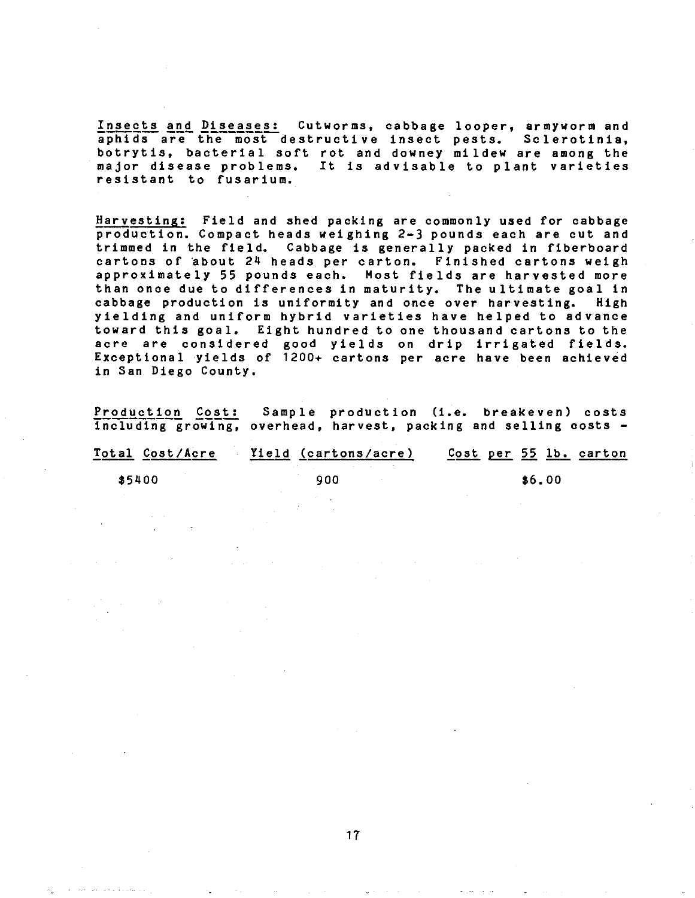Insects and Diseases: Cutworms, cabbage looper, armyworm and aphids are the most destructive insect pests. Sclerotinia, botrytis, bacterial soft rot and downey mildew are among the major disease problems. It is advisable to plant varieties resistant to fusarium.

Harvesting: Field and shed packing are commonly used for cabbage production. Compact heads weighing 2-3 pounds each are cut and trimmed in the field. Cabbage is generally packed in fiberboard cartons of about 24 heads per carton. Finished cartons weigh approximately 55 pounds each. Most fields are harvested more than once due to differences in maturity. The ultimate goal in cabbage production is uniformity and once over harvesting. High yielding and uniform hybrid varieties have helped to advance toward this goal. Eight hundred to one thousand cartons to the acre are considered good yields on drip irrigated fields. Exceptional yields of  $1200+$  cartons per acre have been achieved in San Diego County.

Production Cost: Sample production (i.e. breakeven) costs including growing, overhead, harvest, packing and selling costs -

| Total Cost/Acre | Yield (cartons/acre) | Cost per 55 lb. carton |
|-----------------|----------------------|------------------------|
| \$5400          | 900                  | \$6.00                 |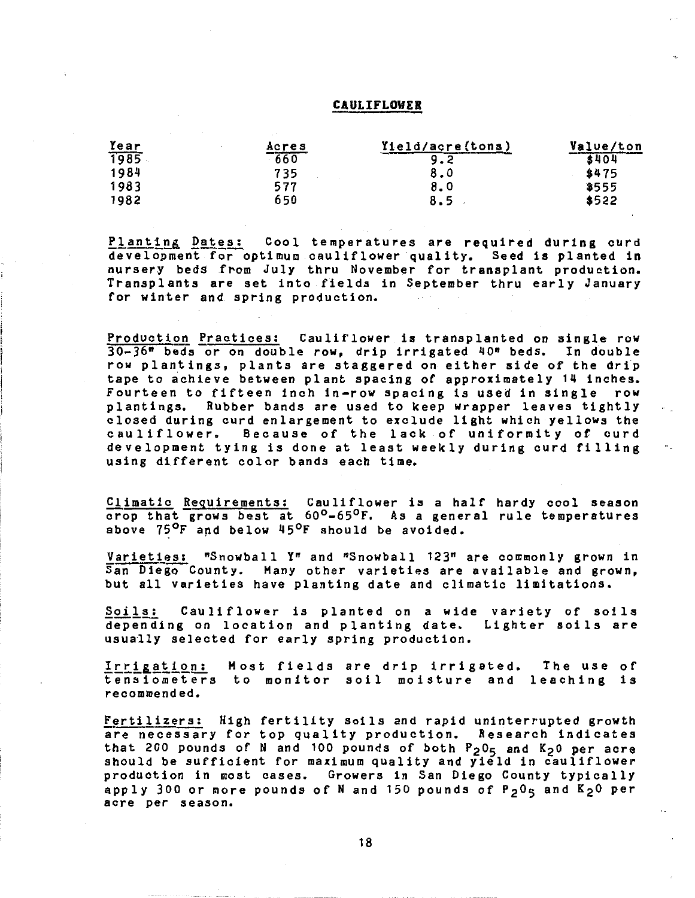### CAULIFLOWER

| Year | Acres  | Yield/acre(tons) | Value/ton |
|------|--------|------------------|-----------|
| 1985 | $-660$ |                  | \$404     |
| 1984 | 735    | 8.0              | \$475     |
| 1983 | 577    | 8.0              | \$555     |
| 1982 | 650    | 8.5              | \$522     |

Planting Dates: Cool temperatures are required during curd development for optimum cauliflower quality. Seed is planted in nursery beds from July thru November for transplant production. Transplants are set into fields in September thru early January for winter and spring production.

Production fractices: Cauliflower is transplanted on single row 30-36" beds or on double row, drip irrigated 40" beds. In double row plantings, plants are staggered on either side of the drip tape to achieve between plant spacing of approximately 14 inches. Fourteen to fifteen inch in-row spacing is used in single row plantings. Rubber bands are used to keep wrapper leaves tightly closed during curd enlargement to exclude light which yellows the cauliflower. Because of the lack of uniformity of curd development tying is done at least weekly during curd filling using different color bands each time.

Climatic Reguirements: Cauliflower is a half hardy cool season crop that grows best at 60<sup>o</sup>-65<sup>o</sup>F. As a general rule temperatures above 75°F and below 45°F should be avoided.

Varieties: "Snowball yn and "Snowball 123" are commonly grown in San Diego County. Many other varieties are available and grown, but all varieties have planting date and climatic limitations.

Soils: Cauliflower is planted on a wide variety of soils depending on location and planting date. Lighter soils are usually selected for early spring production.

Irrigation: Most fields are drip irrigated. tensiometers to monitor soil moisture and leaching is recommended. The use of

Fertilizers: High fertility soils and rapid uninterrupted growth are necessary for top quality production. Research indicates that 200 pounds of N and 100 pounds of both P205 and K2o per acre should be sufficient for maximum quality and yield in cauliflower production in most cases. Growers in San Diego County typically apply 300 or more pounds of N and 150 pounds of P<sub>2</sub>0<sub>5</sub> and K<sub>2</sub>0 per acre per season.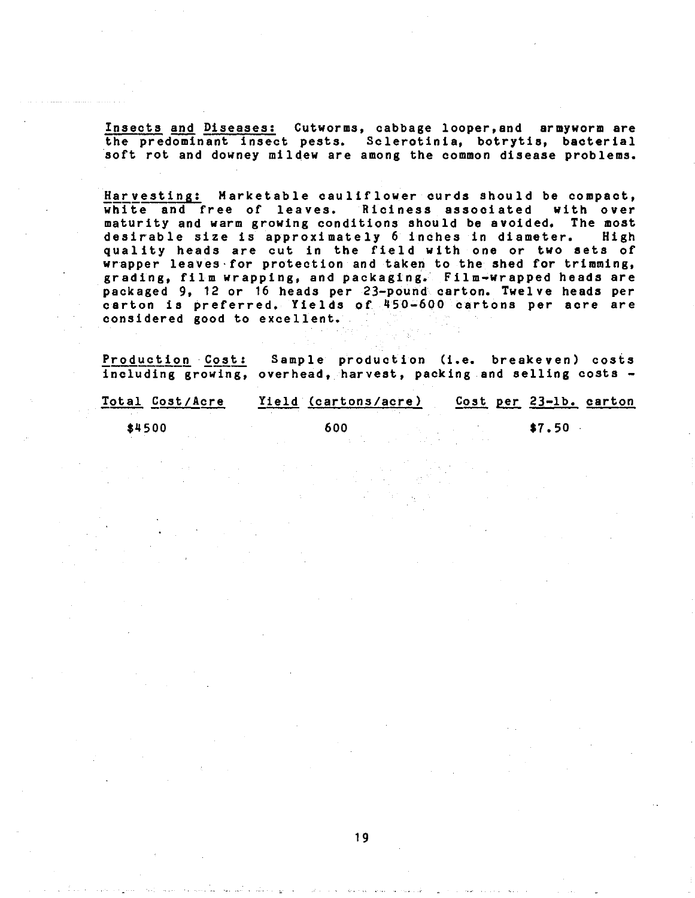Insects and Diseases: Cutworms, cabbage looper,and armyworm are the predominant insect pests. Sclerotinia, botrytis, bacterial soft rot and downey mildew are among the common disease problems.

Harvesting: Marketable cauliflower curds should be compact, white and free of leaves. Riciness associated with over maturity and warm growing conditions should be avoided. The most<br>desirable size is approximately 6 inches in diameter. High desirable size is approximately 6 inches in diameter. quality heads are cut in the field with one or two sets of wrapper leaves·for protection and taken to the shed for trimming, grading, film wrapping, and packaging. Film-wrapped heads are packaged 9, 12 or 16 heads per 23-pound carton. Twelve heads per carton is preferred. Yields of 450-600 cartons per acre are considered good to excellent.

Production Cost: Sample production (i.e. breakeven) costs including growing, overhead, harvest, packing and selling costs -

| Total Cost/Acre | Yield (cartons/acre) |  | Cost per 23-1b. carton |  |
|-----------------|----------------------|--|------------------------|--|
| \$4500          | 600                  |  | \$7.50                 |  |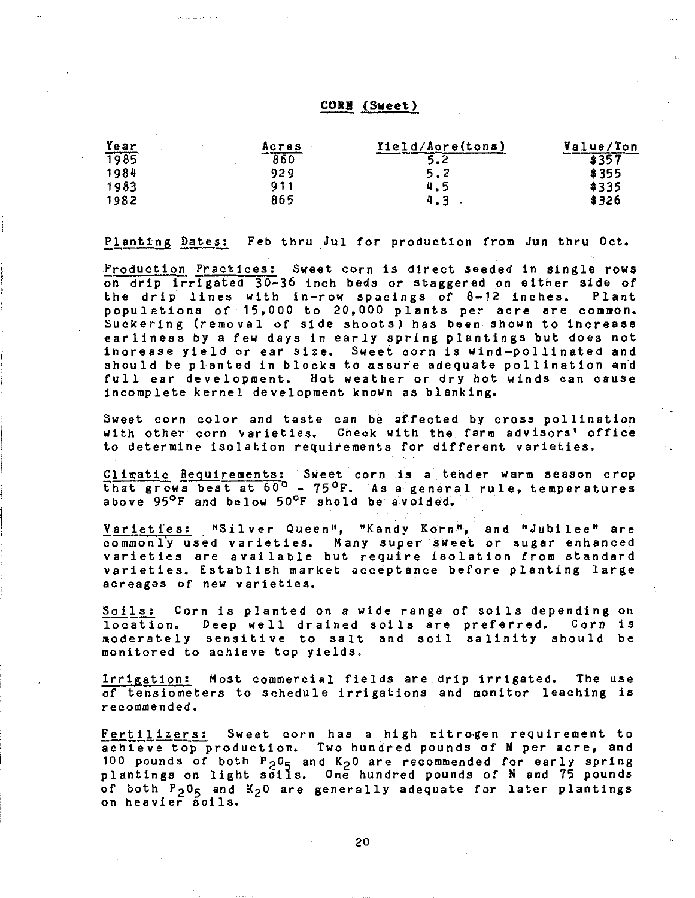# CORB (Sweet)

| Year | Acres  | Yield/Acre(tons) | Value/Ton |
|------|--------|------------------|-----------|
| 1985 | $-860$ |                  | 3357      |
| 1984 | 929    | 5.2              | \$355     |
| 1983 | 911    | 4.5              | \$335     |
| 1982 | 865    | 4.3              | \$326     |

Planting Dates: Feb thru Jul for production from Jun thru Oct.

Production Practices: Sweet corn is direct seeded in single rows on drip irrigated 30-36 inch beds or staggered on either side of the drip lines with in-row spacings of  $8-12$  inches. populations of 15,000 to 20,000 plants per acre are common. Suckering (removal of side shoots) has been shown to increase earliness by a few days in early spring plantings but does not increase yield or ear size. Sweet corn is wind-pollinated and should be planted in blocks to assure adequate pollination and full ear development. Hot weather or dry hot winds can cause incomplete kernel development known as blanking.

Sweet corn color and taste can be affected by cross pollination with other corn varieties. Check with the farm advisors' office to determine isolation requirements for different varieties.

£limatic Requirements: Sweet corn is a tender warm season crop that grows best at 60<sup>b</sup> - 75<sup>o</sup>F. As a general rule, temperatures above 95<sup>o</sup>F and below 50<sup>o</sup>F shold be avoided.

Varieties: "Silver Queen", "Kandy Korn", and "Jubilee" are<br>commonly used varieties. Many super sweet or sugar enhanced varieties are available but require isolation from standard varieties. Establish market acceptance before planting large acreages of new varieties.

Soils: Corn is planted on a wide range of soils depending on location. Deep well drained soils are preferred. Corn is moderately sensitive to salt and soil salinity should be monitored to achieve top yields.

Irrigation: Most commercial fields are drip irrigated. The use of tensiometers to schedule irrigations and monitor leaching is recommended.

Fertilizers: Sweet corn has a high nitrogen requirement to achieve top production. Two hundred pounds of N per acre, and 100 pounds of both  $P_2O_5$  and  $K_2O$  are recommended for early spring plantings on light soils. One hundred pounds of N and 75 pounds of both  $P_2 O_5$  and  $K_2 O$  are generally adequate for later plantings on heavier soils.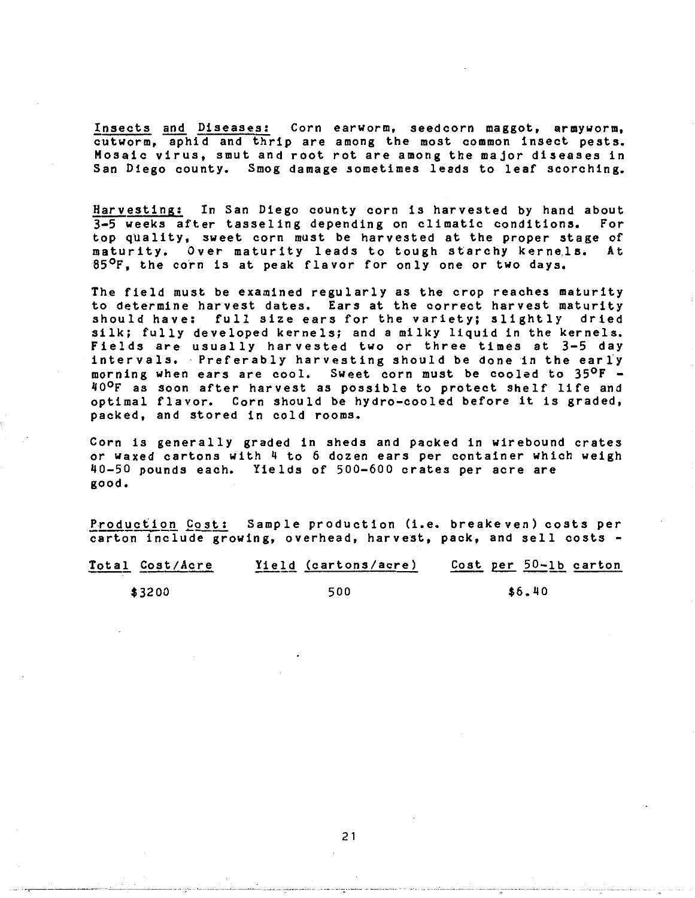Insects and Diseases: Corn earworm, seedcorn maggot, armyworm, cutworm, aphid and thrip are among the most common insect pests. Mosaic virus, smut and root rot are among the major diseases in San Diego county. Smog damage sometimes leads to leaf scorching.

 $\frac{Harvesting:}{3-5}$  in San Diego county corn is harvested by hand about  $\frac{3-5}{5}$  weeks after tasseling depending on climatic conditions. For  $3-5$  weeks after tasseling depending on climatic conditions. top quality, sweet corn must be harvested at the proper stage of maturity. Over maturity leads to tough starchy kernels. At 85°F, the corn is at peak flavor for only one or two days.

The field must be examined regularly as the crop reaches maturity to determine harvest dates. Ears at the correct harvest maturity should have: full size ears for the variety; slightly dried silk; fully developed kernels; and a milky liquid in the kernels. Fields are usually harvested two or three times at 3-5 day intervals. Preferably harvesting should be done in the early morning when ears are cool. Sweet corn must be cooled to 35°F -40°F as soon after harvest as possible to protect shelf life and optimal flavor. Corn should be hydro-cooled before it is graded, packed, and stored in cold rooms.

Corn is generally graded in sheds and packed in wirebound crates or waxed cartons with 4 to 6 dozen ears per container which weigh 40-50 pounds each. Yields of 500-600 crates per acre are good.

Production Cost: Sample production (i.e. breake ven) costs per carton include growing, overhead, harvest, pack, and sell costs -

| Total Cost/Acre | Yield (cartons/acre) | Cost per 50-1b carton |
|-----------------|----------------------|-----------------------|
| \$3200          | 500                  | \$6.40                |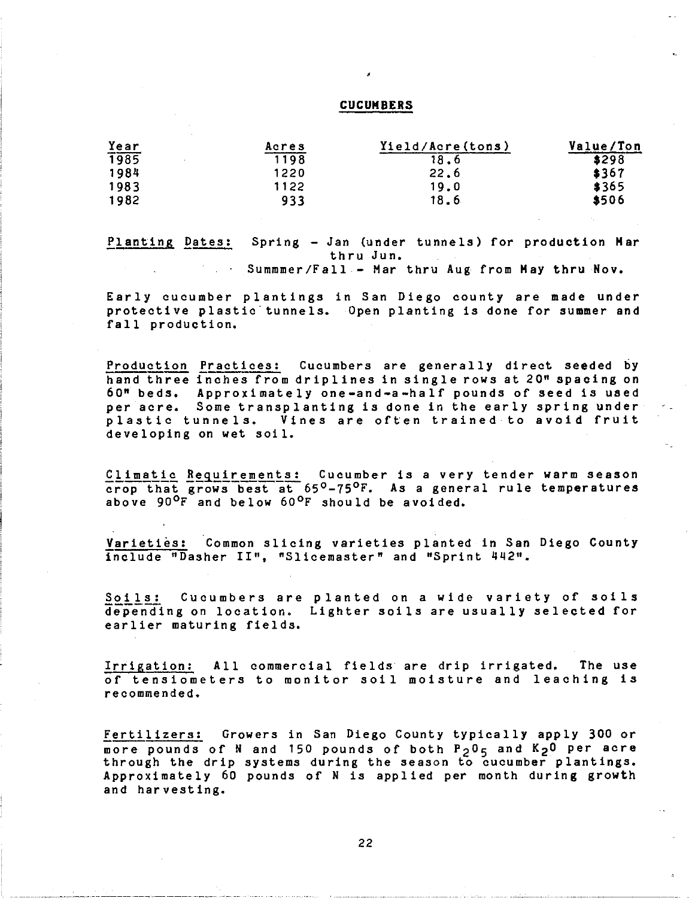### **CUCUMBERS**

'

| Year        | Acres | Yield/Acre(tons) | Value/Ton |
|-------------|-------|------------------|-----------|
| <b>1985</b> | 1198  | 18.6             | \$298     |
| 1984        | 1220  | 22.6             | \$367     |
| 1983        | 1122  | 19.0             | \$365     |
| 1982        | 933   | 18.6             | \$506     |

Planting Dates: Spring - Jan (under tunnels) for production **Har**  thru Jun. Summmer/Fall - Mar thru Aug from May thru Nov.

Early cucumber plantings in San Diego county are made under protective plastic tunnels. Open planting is done for summer and fall production.

Production Practices: Cucumbers are generally direct seeded by hand three inches from driplines in single rows at 20" spacing on 60" beds. Approximately one-and-a-half pounds of seed is used per acre. Some transplanting is done in the early spring under plastic tunnels. Vines are often trained to avoid fruit developing on wet soil.

Climatic Requirements: Cucumber is a very tender warm season crop that grows best at 65<sup>0</sup>-75<sup>0</sup>F. As a general rule temperatures above 90°F and below 60°F should be avoided.

Varieties: Common slicing varieties planted in San Diego County include "Dasher II", "Slicemaster" and •Sprint 442".

Soils: Cucumbers are planted on a wide variety of soils depending on location. Lighter soils are usually selected for earlier maturing fields.

Irrigation: All commercial fields· are drip irrigated. The use of tensiometers to monitor soil moisture and leaching is recommended.

Fertilizers: Growers in San Diego County typically apply 300 or pounds of N and 150 pounds of both P<sub>2</sub>0<sub>5</sub> and K<sub>2</sub>0 per acre through the drip systems during the season to cucumber plantings. Approximately 60 pounds of N is applied per month during growth and harvesting.

22

---------- - - ---------- -----·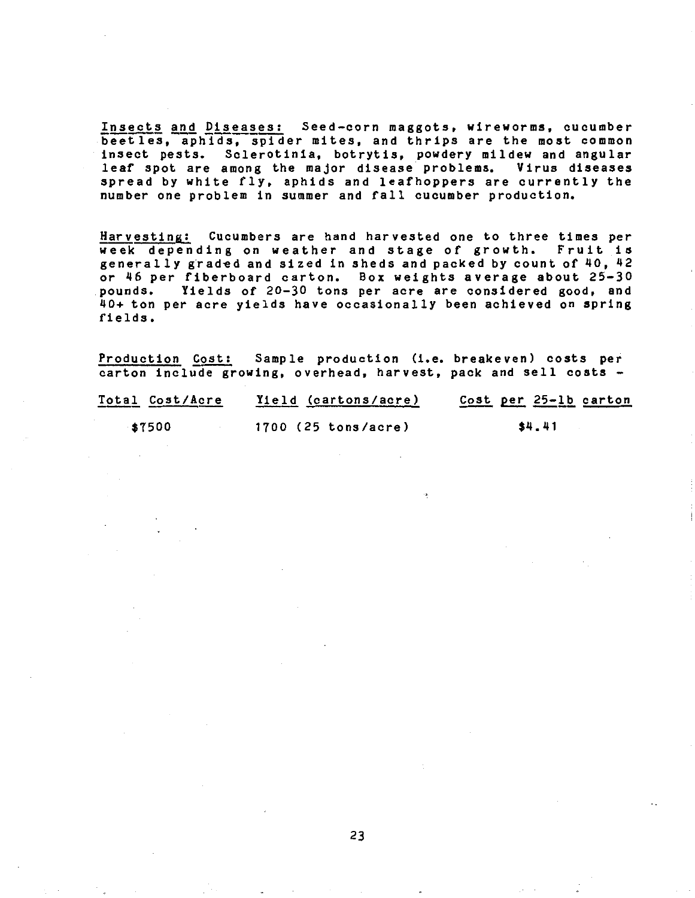Insects and Diseases: Seed-corn maggots, wireworms, cucumber beetles, aphids, spider mites, and thrips are the most common insect pests. Sclerotinia, botrytis, powdery mildew and angular leaf spot are among the major disease problems. Virus diseases spread by white fly, aphids and leafhoppers are currently the number one problem in summer and fall cucumber production.

Harvesting: Cucumbers are hand harvested one to three times per week depending on weather and stage of growth. Fruit is generally graded and sized in sheds and packed by count of 40, 42 or 46 per fiberboard carton. Box weights average about 25-30 pounds. Yields of 20-30 tons per acre are considered good, and 40+ ton per acre yields have occasionally been achieved on spring fields.

Production Cost: Sample production (i.e. breakeven) costs per carton include growing, overhead, harvest, pack and sell costs -

| Total Cost/Acre | Yield (cartons/acre) | Cost per 25-1b carton |
|-----------------|----------------------|-----------------------|
| \$7500          | 1700 (25 tons/acre)  | 54.41                 |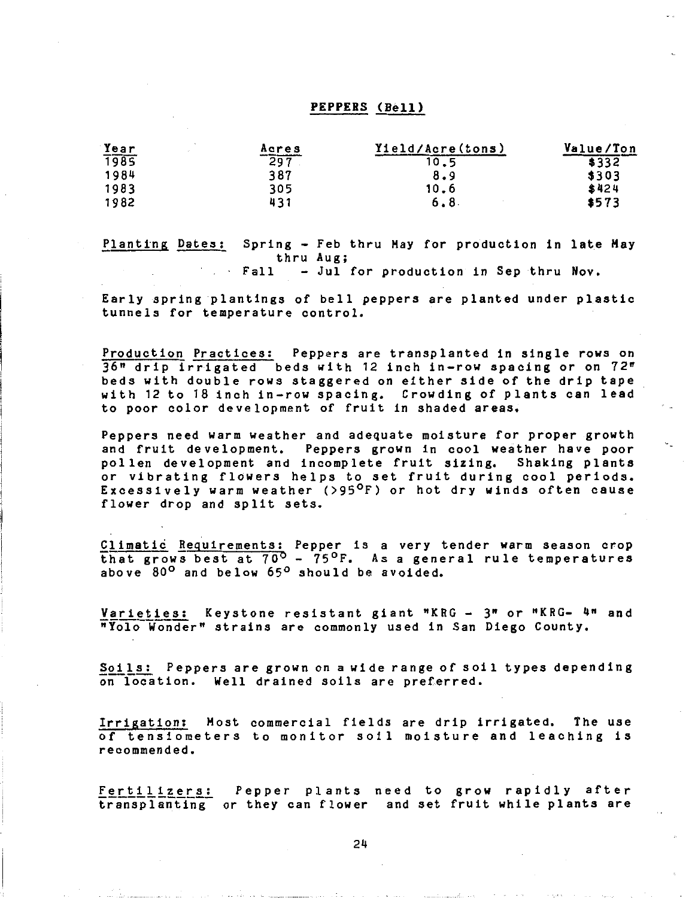### PEPPERS (Bell)

| Year | Acres | Yield/Acre(tons) | Value/Ton |
|------|-------|------------------|-----------|
| 1985 | 297   |                  | \$332     |
| 1984 | 387   | 8.9              | \$303     |
| 1983 | 305   | 10.6             | \$424     |
| 1982 | 431   | 6.8              | \$573     |

flanting Dates: Spring - Feb thru Hay for production in late Hay thru Aug;<br>Fall – Jul – - Jul for production in Sep thru Nov.

Early spring plantings of bell peppers are planted under plastic tunnels for temperature control.

Production Practices: Peppers are transplanted in single rows on 36" drip irrigated beds with 12 inch in-row spacing or on 72" beds with double rows staggered on either side of the drip tape with 12 to 18 inch in-row spacing. Crowding of plants can lead to poor color development of fruit in shaded areas.

Peppers need warm weather and adequate moisture for proper growth and fruit development. Peppers grown in cool weather have poor pollen development and incomplete fruit sizing. Shaking plants or vibrating flowers helps to set fruit during cool periods. Excessively warm weather (>95°F) or hot dry winds often cause flower drop and split sets.

Climatic Requirements: Pepper is a very tender warm season crop that grows best at 70<sup>°</sup> - 75<sup>°</sup>F. As a general rule temperatures above 80<sup>°</sup> and below 65<sup>°</sup> should be avoided.

Varieties: Keystone resistant giant "KRG - 3" or "KRG- 4" and nYolo-Wonder" strains are commonly used in San Diego County.

Soils: Peppers are grown on a wide range of soil types depending onlocation. Well drained soils are preferred.

Irrigation: Host commercial fields are drip irrigated. The use of tensiometers to monitor soil moisture and leaching is recommended.

Fertilizers: Pepper plants need to grow rapidly after transplanting- or they can flower and set fruit while plants are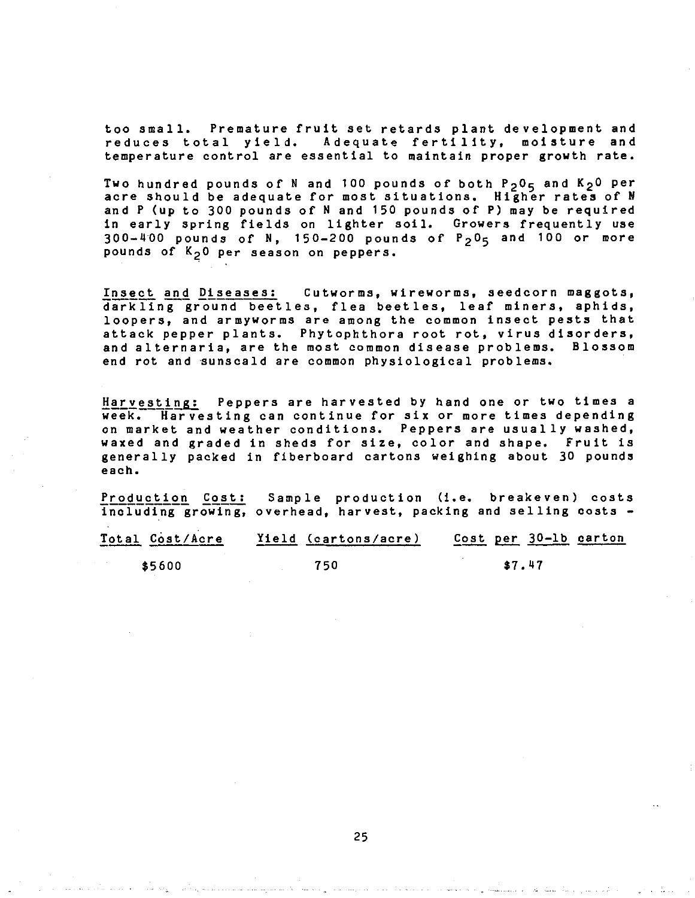too small. Premature fruit set retards plant development and reduces total yield. Adequate fertility, moisture and temperature control are essential to maintain proper growth rate.

Two hundred pounds of N and 100 pounds of both  $P_2O_5$  and  $K_2O$  per acre should be adequate for most situations. Higher rates of <sup>N</sup> and P (up to 300 pounds of N and 150 pounds of P) may be required in early spring fields on lighter soil. Growers frequently use  $300-400$  pounds of N, 150-200 pounds of  $P_2O_5$  and 100 or more pounds of  $K<sub>2</sub>0$  per season on peppers.

Insect and Diseases: Cutworms, wireworms, seedcorn maggots, darkling ground beetles, flea beetles, leaf miners, aphids, loopers, and armyworms are among the common insect pests that attack pepper plants. Phytophthora root rot, virus disorders, and alternaria, are the most common disease problems. Blossom end rot and sunscald are common physiological problems.

Harvesting: Peppers are harvested by hand one or two times a week. Harvesting can continue for six or more times depending on market and weather conditions. Peppers are usually washed, waxed and graded in sheds for size, color and shape. Fruit is generally packed in fiberboard cartons weighing about 30 pounds each.

Production Cost: Sample production (i.e. breakeven) costs including growing, overhead, harvest, packing and selling costs -

| Total Cost/Acre | Yield (cartons/acre) | Cost per 30-1b carton |
|-----------------|----------------------|-----------------------|
| \$5600          | 750                  | \$7.47                |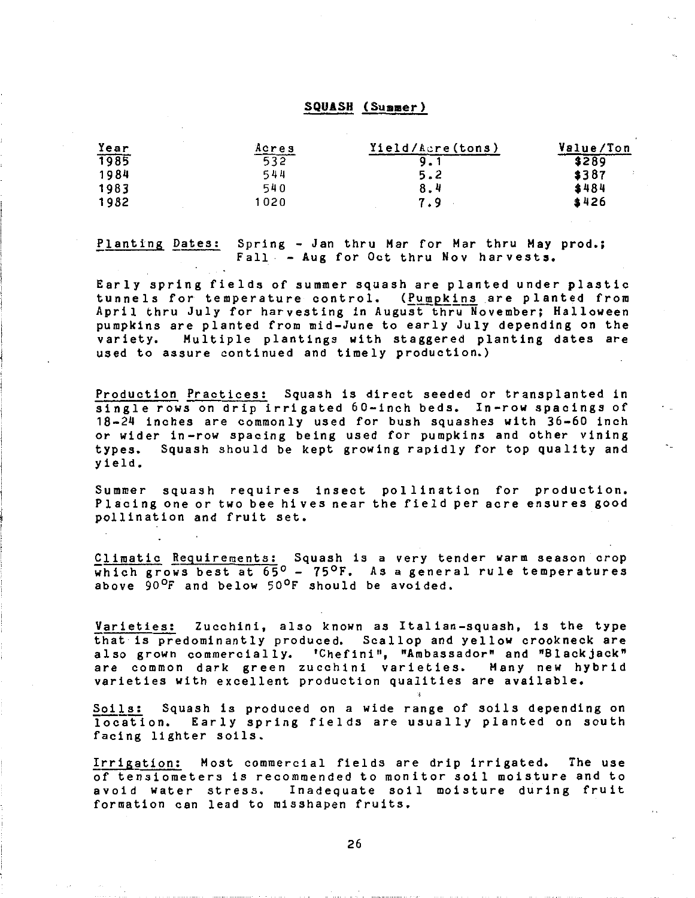### SQUASH (Summer)

| Year | Acres | Yield/Acre(tons) | Value/Ton |
|------|-------|------------------|-----------|
| 1985 | 532   |                  | \$289     |
| 1984 | 544   | 5.2              | \$387     |
| 1983 | 540   | 8.4              | \$484     |
| 1982 | 1020  | 7.9              | \$426     |

flanting Dates: Spring - Jan thru Har for Har thru Hay prod.; Fall - Aug for Oct thru Nov harvests.

Early spring fields of summer squash are planted under plastic tunnels for temperature control. (Pumpkins are planted from April thru July for harvesting in August thru November; Halloween pumpkins are planted from mid-June to early July depending on the variety. Multiple plantings with staggered planting dates are used to assure continued and timely production.)

Production Practices: Squash is direct seeded or transplanted in single rows on drip irrigated 60-inch beds. In-row spacings of 18-24 inches are commonly used for bush squashes with 36-60 inch or wider in-row spacing being used for pumpkins and other vining types. Squash should be kept growing rapidly for top quality and yield.

Summer squash requires insect pollination for production. Placing one or two beehives near the field per acre ensures good pollination and fruit set.

Climatic Requirements: Squash is a very tender warm season crop which grows best at 65<sup>°</sup> - 75<sup>°</sup>F. As a general rule temperatures above 90<sup>o</sup>F and below 50<sup>o</sup>F should be avoided.

Varieties: Zucchini, also known as Italian-squash, is the type that is predominantly produced. Scallop and yellow crookneck are also grown commercially. 'Chefini", "Ambassador" and "Blackjack" are common dark green zucchini varieties. Many new hybrid varieties with excellent production qualities are available.

Soils: Squash is produced on a wide range of soils depending on location. Early spring fields are usually planted on south facing lighter soils.

Irrigation: Host commercial fields are drip irrigated. The use of tensiometers is recommended to monitor soil moisture and to avoid water stress. Inadequate soil moisture during fruit formation can lead to misshapen fruits.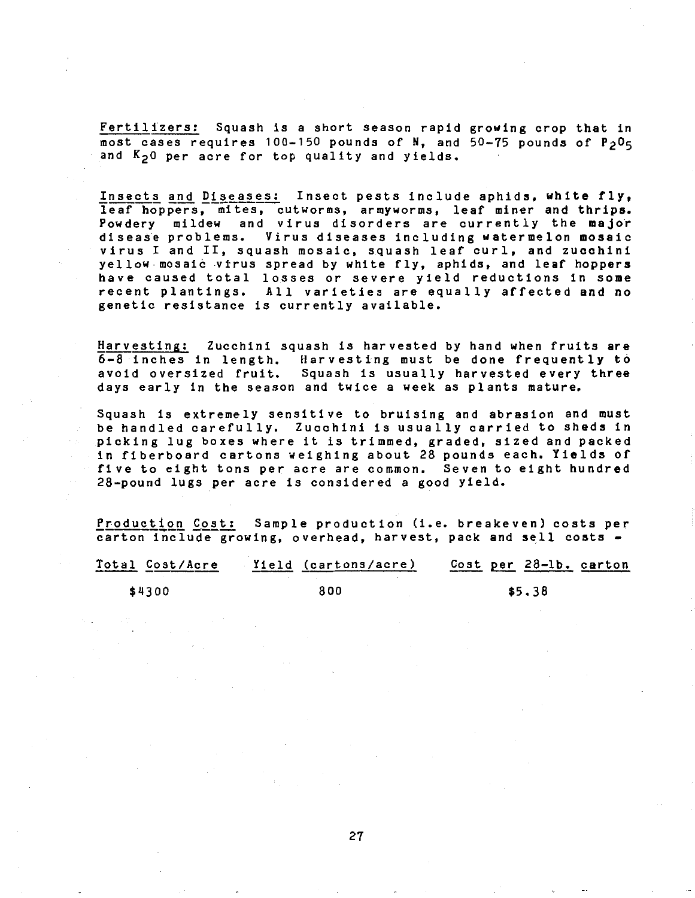Fertilizers: Squash is a short season rapid growing crop that in most cases requires 100-150 pounds of N, and  $50-75$  pounds of  $P_2 O_5$ and K<sub>20</sub> per acre for top quality and yields.

Insects and Diseases: Insect pests include aphids, white fly, leaf hoppers, mites, cutworms, armyworms, leaf miner and thrips. Powdery mildew and virus disorders are currently the major disease problems. Virus diseases including watermelon mosaic virus I and II, squash mosaic, squash leaf curl, and zucchini yellow mosaic virus spread by white fly, aphids, and leaf hoppers have caused total losses or severe yield reductions in some recent plantings, All varieties are equally affected and no genetic resistance is currently available.

Harvesting: Zucchini squash is harvested by hand when fruits are  $6-8$  inches in length. Harvesting must be done frequently to avoid oversized fruit. Squash is usually harvested every three days early in the season and twice a week as plants mature.

Squash is extremely sensitive to bruising and abrasion and must be handled carefully. Zucchini is usually carried to sheds in picking lug boxes where it is trimmed, graded, sized and packed in fiberboard cartons weighing about 28 pounds each, Yields of five to eight tons per acre are common. Seven to eight hundred 28-pound lugs per acre is considered a good yield.

Production Cost: Sample production (i.e. breakeven) costs per carton include growing, overhead, harvest, pack and sell costs -

| Total Cost/Acre | Yield (cartons/acre) | Cost per 28-1b. carton |
|-----------------|----------------------|------------------------|
| \$4300          | 800                  | \$5.38                 |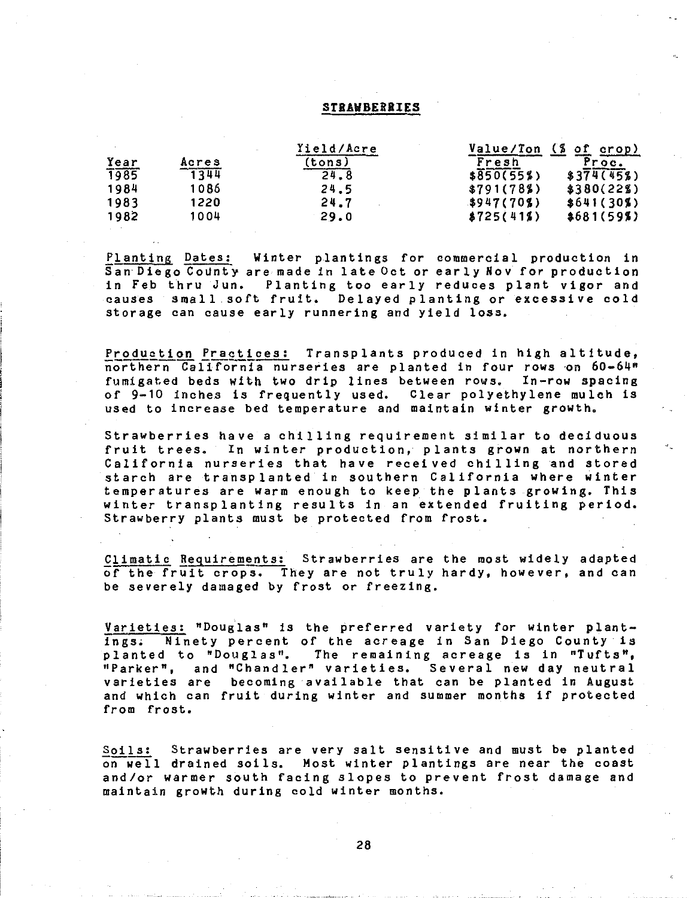### **STRAWBERRIES**

|             |       | Yield/Acre | Value/Ton  | $\frac{1}{2}$<br><u>of crop)</u> |
|-------------|-------|------------|------------|----------------------------------|
| Year        | Acres | (tons)     | Fresh      | Proc.                            |
| <b>T985</b> | 1344  | 24.8       | \$850(55%) | \$374(45%)                       |
| 1984        | 1086  | 24.5       | \$791(78%) | \$380(22%)                       |
| 1983        | 1220  | 24.7       | 3947(70)   | \$641(30%)                       |
| 1982        | 1004  | 29.0       | \$725(41%) | \$681(59%)                       |

Planting Dates: Winter plantings for commercial production in San Diego County are made in late Oct or early Nov for production in Feb thru Jun. Planting too early reduces plant vigor and causes small soft fruit. Delayed planting or excessive cold storage can cause early runnering and yield loss.

Production Practices: Transplants produced in high altitude, northern California nurseries are planted in four rows on 60-64" fumigated beds with two drip lines between rows. In-row spacing of 9-10 inches is frequently used. Clear polyethylene mulch is used to increase bed temperature and maintain winter growth.

Strawberries have a chilling requirement similar to deciduous fruit trees. In winter production, plants grown at northern California nurseries that have received chilling and stored starch are transplanted in southern California where winter temperatures are warm enough to keep the plants growing. This winter transplanting results in an extended fruiting period. Strawberry plants must be protected from frost.

Climatic Requirements: Strawberries are the most widely adapted of the fruit crops. They are not truly hardy, however, and can be severely damaged by frost or freezing.

Varieties: "Douglas" is the preferred variety for winter plantings. Ninety percent of the acreage in San Diego County is planted to "Douglas". The remaining acreage is in "Tufts",<br>"Parker", and "Chandler" varieties. Several new day neutral varieties are becoming available that can be planted in August and which can fruit during winter and summer months if protected from frost.

Soils: Strawberries are very salt sensitive and must be planted on well drained soils. Most winter plantings are near the coast and/or warmer south facing slopes to prevent frost damage and maintain growth during cold winter months.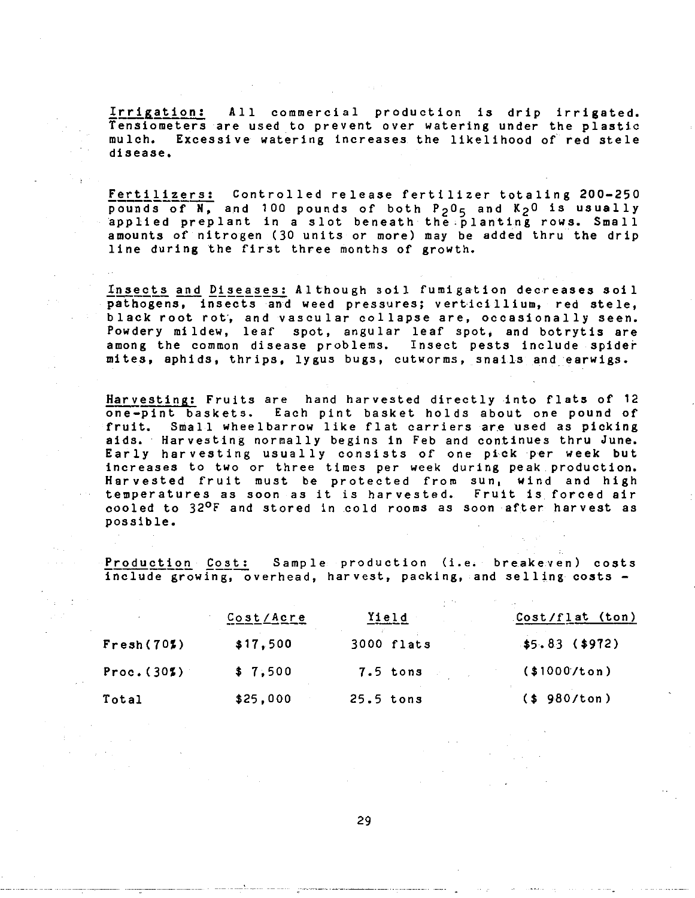Irrigation: All commercial production is drip irrigated. Tensiometers are used to prevent over watering under the plastic mulch. Excessive watering increases the likelihood of red stele disease.

Fertilizers: Controlled release fertilizer totaling 200-250 pounds of  $N$ , and 100 pounds of both  $P_2O_5$  and  $K_2O$  is usually applied preplant in a slot beneath the planting rows. Small amounts of nitrogen (30 units or more) may be added thru the drip line during the first three months of growth.

Insects and Diseases: Although soil fumigation decreases soil pathogens, insects and weed pressures; verticillium, red stele, black root rot, and vascular collapse are, occasionally seen. Powdery mildew, leaf spot, angular leaf spot, and botrytis are among the common disease problems. Insect pests include spider mites, aphids, thrips, lygus bugs, cutworms, snails and. earwigs.

Harvesting: Fruits are hand harvested directly into flats of 12 one-pint baskets. Each pint basket holds about one pound of fruit. Small wheelbarrow like flat carriers are used as picking aids. Harvesting normally begins in Feb and continues thru June. Early harvesting usually consists of one pick per week but increases to two or three times per week during peak production. Harvested fruit must be protected from sun, wind and high temperatures as soon as it is harvested. Fruit is forced air cooled to 32°F and stored in cold rooms as soon after harvest as possible.

Production Cost: Sample production (i.e. breakeven) costs include growing, overhead, harvest, packing, and selling costs -

|             | Cost/Acre | <u>Yield</u> | Cost/flat (ton) |
|-------------|-----------|--------------|-----------------|
| Fresh(702)  | \$17,500  | 3000 flats   | $$5.83$ (\$972) |
| Proc. (302) | \$7,500   | $7.5$ tons   | (1000/ton)      |
| Total       | \$25,000  | $25.5$ tons  | (\$980/ton)     |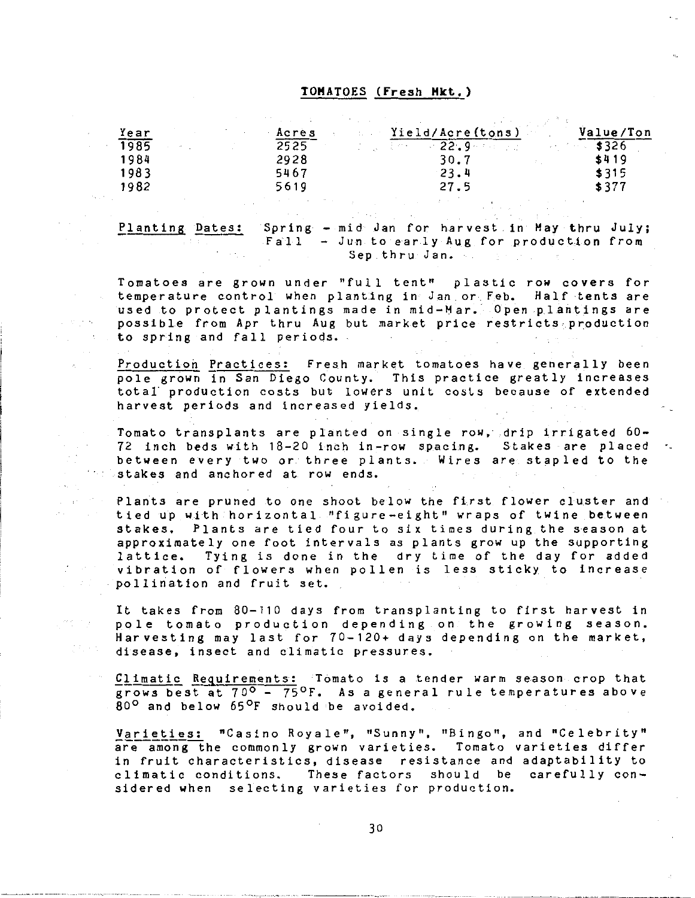### **TOMATOES (Fresh Hkt.)**

| Year |  | Acres |                 | Yield/Acre(tons) | Value/Ton |
|------|--|-------|-----------------|------------------|-----------|
| 1985 |  | 2525  | VI (III) (1995) | $22.9 - 1.2$     |           |
| 1984 |  | 2928  |                 | 30.7             | \$419     |
| 1983 |  | 5467  |                 | 23.4             | \$315     |
| 1982 |  | 5619  |                 | 27.5             | \$377     |
|      |  |       |                 |                  |           |

Planting Dates: Spring - mid Jan for harvest in May thru July; Fall - Jun to early Aug for production from Sep thru Jan.

Tomatoes are grown under "full tent" plastic row covers for temperature control when planting in Jan or Feb. Half tents are used to protect plantings made in mid-Mar. Open plantings are possible from Apr thru Aug but market price restricts,production to spring and fall periods.

Production Practices: Fresh market tomatoes have generally been pole grown in San Diego County. This practice greatly increases total production costs but lowers unit costs because of extended harvest periods and increased yields.

Tomato transplants are planted on single row, drip irrigated 60- 72 inch beds with 18-20 inch in-row spacing. Stakes are placed between every two or three plants. Wires are stapled to the stakes and anchored at row ends.

Plants are pruned to one shoot below the first flower cluster and tied up with horizontal "figure-eight" wraps of twine between stakes. Plants are tied four to six times during the season at approximately one foot intervals as plants grow up the supporting lattice. Tying is done in the dry time of the day for added vibration of flowers when pollen is less sticky to increase pollination and fruit set.

It takes from 80-110 days from transplanting to first harvest in Pole tomato production depending on the growing season. Harvesting may last for 70-120+ days depending on the market, disease, insect and climatic pressures.

Climatic Requirements: Tomato is a tender warm season crop that grows best at 700 - 75°F. As a general rule temperatures above  $80^{\circ}$  and below  $65^{\circ}$ F should be avoided.

Varieties: "Casino Royale", "Sunny", "Bingo", and "Celebrity" are among the commonly grown varieties. Tomato varieties differ in fruit characteristics, disease resistance and adaptability to<br>climatic conditions. These factors should be carefully con-These factors should be carefully considered when selecting varieties for production.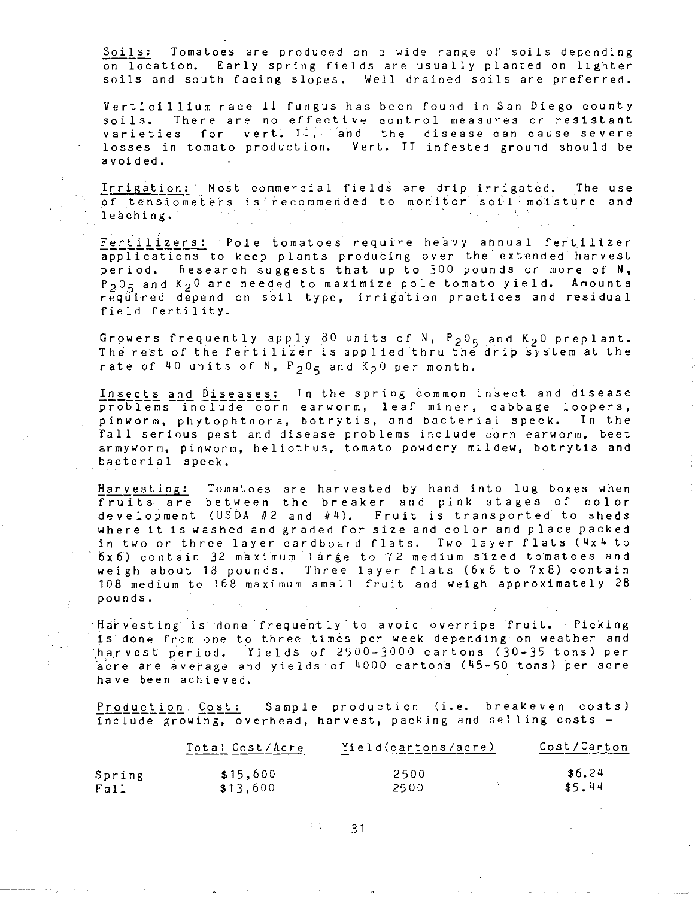Soils: Tomatoes are produced on a wide range of soils depending on location. Early spring fields are usually planted on lighter soils and south facing slopes. Well drained soils are preferred.

Verticillium race II fungus has been found in San Diego county soils. There are no effective control measures or resistant varieties for vert. II; and the disease can cause severe losses in tomato production. Vert. II infested ground should be avoided.

Irrigation: Most commercial fields are drip irrigated. The of tensiometers is recommended to monitor soil moisture and leaching. The use

Fertilizers: Pole tomatoes require heavy annual fertilizer applications to keep plants producing over the extended harvest period. Research suggests that up to 300 pounds or more of N,  $P_2 0<sub>5</sub>$  and  $K_2 0$  are needed to maximize pole tomato yield. Amounts required depend on soil type, irrigation practices and residual field fertility.

Growers frequently apply 80 units of N,  $P_2O_5$  and K<sub>2</sub>0 preplant. The rest of the fertilizer is applied thru the drip system at the rate of 40 units of  $N$ ,  $P_2O_5$  and  $K_2O$  per month.

Insects and Diseases: In the spring common insect and disease problems include corn earworm, leaf miner, cabbage loopers, pinworm, phytophthora, botrytis, and bacterial speck. In the fall serious pest and disease problems include corn earworm, beet armyworm, pinworm, heliothus, tomato powdery mildew, botrytis and bacterial speck.

Harvesting: Tomatoes are harvested by hand into lug boxes when fruits are between the breaker and pink stages of color development (USDA #2 and #4). Fruit is transported to sheds where it is washed and graded for size and color and place packed in two or three layer cardboard flats. Two layer flats (4x4 to 6x6) contain 32 maximum large to 72 medium sized tomatoes and weigh about 18 pounds. Three layer flats (6x6 to 7x8) contain 108 medium to 168 maximum small fruit and weigh approximately 28 pounds.

Harvesting is done frequently to avoid overripe fruit. Picking is done from one to three times per week depending on weather and harvest period. Yields of 2500-3000 cartons (30-35 tons) per acre are average and yields of 4000 cartons (45-50 tons) per acre have been achieved.

Production Cost: Sample production (i.e. breakeven costs) include growing, overhead, harvest, packing and selling costs -

|        | Total Cost/Acre | Yield(cartons/acre) | Cost/Carton |
|--------|-----------------|---------------------|-------------|
| Spring | \$15.600        | 2500                | \$6.24      |
| Fall   | \$13.600        | 2500                | \$5.44      |

 $31 - 31$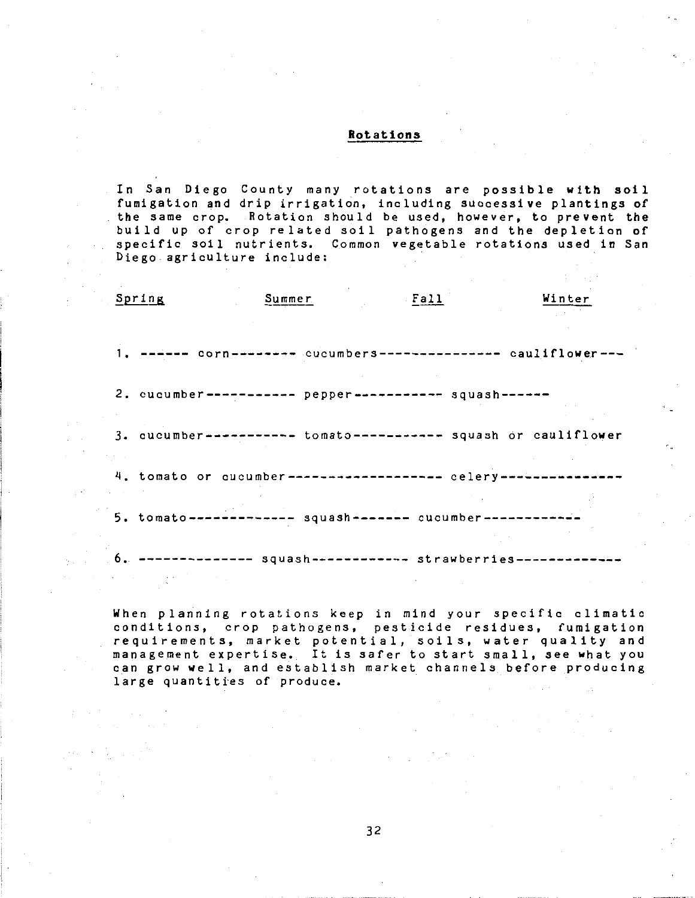### Rotations

In San Diego County many rotations are possible with soil fumigation and drip irrigation, including successive plantings of the same crop. Rotation should be used, however, to prevent the build up of crop related soil pathogens and the depletion of specific soil nutrients. Common vegetable rotations used in San Diego agriculture include:

| Spring                                                                                                                                  | Summer                                                            | . <b>Fall</b> | Winter |
|-----------------------------------------------------------------------------------------------------------------------------------------|-------------------------------------------------------------------|---------------|--------|
|                                                                                                                                         |                                                                   |               |        |
|                                                                                                                                         |                                                                   |               |        |
|                                                                                                                                         | 1. ------ corn-------- cucumbers-------------- cauliflower---     |               |        |
|                                                                                                                                         |                                                                   |               |        |
|                                                                                                                                         | 2. cucumber ----------- pepper ----------- squash ------          |               |        |
|                                                                                                                                         |                                                                   |               |        |
|                                                                                                                                         | 3. cucumber----------- tomato----------- squash or cauliflower    |               |        |
|                                                                                                                                         |                                                                   |               |        |
|                                                                                                                                         | 4. tomato or cucumber------------------ celery---------------     |               |        |
|                                                                                                                                         |                                                                   |               |        |
|                                                                                                                                         | 5. tomato ------------- squash ------- cucumber ------------      |               |        |
|                                                                                                                                         |                                                                   |               |        |
|                                                                                                                                         | $6.$ -------------- $squash$ ----------- strawberries------------ |               |        |
| $\mathcal{L}^{\mathcal{A}}$ and $\mathcal{L}^{\mathcal{A}}$ are the set of the set of the set of the set of $\mathcal{L}^{\mathcal{A}}$ |                                                                   |               |        |

the car

When planning rotations keep in mind your specific climatic conditions, crop pathogens, pesticide residues, fumigation requirements, market potential, soils, water quality and management expertise. It is safer to start small, see what you can grow well, and establish market channels before producing large quantities of produce.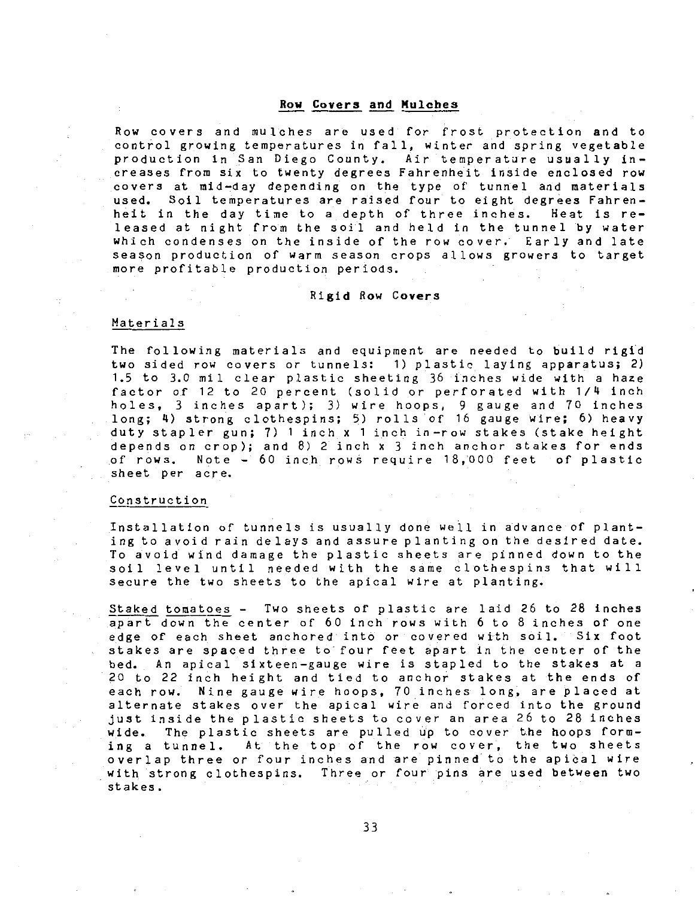**Row Covers and Mulches**<br>Row covers and mulches are used for frost protection and to control growing temperatures in fall, winter and spring vegetable production in San Diego County. Air temperature usually increases from six to twenty degrees Fahrenheit inside enclosed row covers at mid-day depending on the type of tunnel and materials used. Soil temperatures are raised four to eight degrees Fahrenheit in the day time to a depth of three inches. Heat is released at night from the soil and held in the tunnel by water which condenses on the inside of the row cover. Early and late season production of warm season crops allows growers to target more profitable production periods.

### Rigid Row **Covers**

### Materials

The following materials and equipment are needed to build rigid two sided row covers or tunnels: 1) plastic laying apparatus; 2) 1.5 to 3.0 mil clear plastic sheeting 36 inches wide with a haze factor of 12 to 20 percent (solid or perforated with 1/4 inch holes, 3 inches apart); 3) wire hoops, 9 gauge and 70 inches long; 4) strong clothespins; 5) rolls of 16 gauge wire; 6) heavy duty stapler gun; 7) 1 inch x 1 inch in-row stakes (stake height depends on crop); and 8) 2 inch x 3 inch anchor stakes for ends of rows. Note - 60 inch rows require 18,000 feet of plastic sheet per acre.

### Construction

Installation of tunnels is usually done well in advance of planting to avoid rain delays and assure planting on the desired date. To avoid wind damage the plastic sheets are pinned down to the soil level until needed with the same clothespins that will secure the two sheets to the apical wire at planting.

Staked tomatoes - Two sheets of plastic are laid 26 to 28 inches apart down the center of 60 inch rows with 6 to 8 inches of one edge of each sheet anchored into or covered with soil. Six foot stakes are spaced three to four feet apart in the center of the bed. An apical sixteen-gauge wire is stapled to the stakes at a 20 to 22 inch height and tied to anchor stakes at the ends of each row. Nine gauge wire hoops, 70 inches long, are placed at alternate stakes over the apical wire and forced into the ground just inside the plastic sheets to cover an area 26 to 28 inches wide. The plastic sheets are pulled up to cover the hoops forming a tunnel. At the top of the row cover, the two sheets overlap three or four inches and are pinned to the apical wire with strong clothespins. Three or four pins are used between two stakes.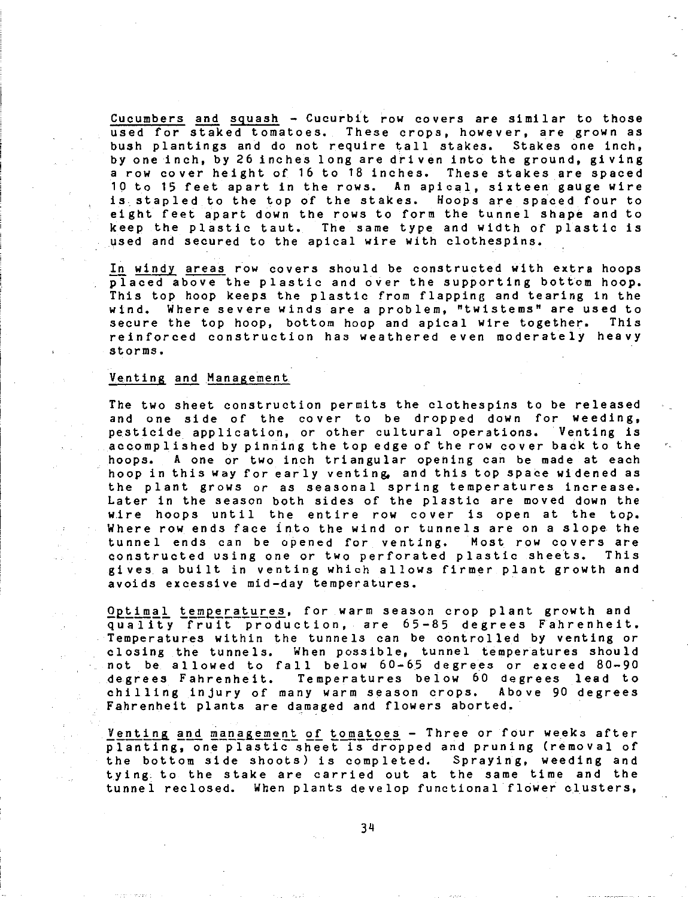Cucumbers and squash - Cucurbit row covers are similar to those used for staked tomatoes. These crops, however, are grown as bush plantings and do not require tall stakes. Stakes one inch, by one inch, by 26 inches long are driven into the ground, giving a row cover height of 16 to 18 inches. These stakes are spaced 10 to 15 feet apart in the rows. An apical, sixteen gauge wire is stapled to the top of the stakes. Hoops are spaced four to eight feet apart down the rows to form the tunnel shape and to keep the plastic taut. The same type and width of plastic is used and secured to the apical wire with clothespins.

In windy areas row covers should be constructed with extra hoops placed above the plastic and over the supporting bottom hoop. This top hoop keeps the plastic from flapping and tearing in the wind. Where severe winds are a problem, "twistems" are used to secure the top hoop, bottom hoop and apical wire together. This reinforced construction has weathered even moderately heavy storms.

### Venting and Management

The two sheet construction permits the clothespins to be released and one side of the cover to be dropped down for weeding, pesticide application, or other cultural operations. Venting is accomplished by pinning the top edge of the row cover back to the hoops. A one or two inch triangular opening can be made at each hoop in this way for early venting, and this top space widened as the plant grows or as seasonal spring temperatures increase. Later in the season both sides of the plastic are moved down the wire hoops until the entire row cover is open at the top. Where row ends face into the wind or tunnels are on a slope the tunnel ends can be opened for venting. Most row covers are constructed using one or two perforated plastic sheets. This gives a built in venting which allows firmer plant growth and avoids excessive mid-day temperatures.

Optimal temperatures, for warm season crop plant growth and quality fruit production, are 65-85 degrees Fahrenheit. Temperatures within the tunnels can be controlled by venting or closing the tunnels. When possible, tunnel temperatures should not be allowed to fall below 60-65 degrees or exceed 80-90 degrees Fahrenheit. Temperatures below 60 degrees lead to chilling injury of many warm season crops. Above 90 degrees Fahrenheit plants are damaged and flowers aborted.

Venting and management of tomatoes - Three or four weeks after planting, one plastic sheet is dropped and pruning (removal of the bottom side shoots) is completed. Spraying, weeding and tying to the stake are carried out at the same time and the tunnel reclosed. When plants develop functional flower clusters,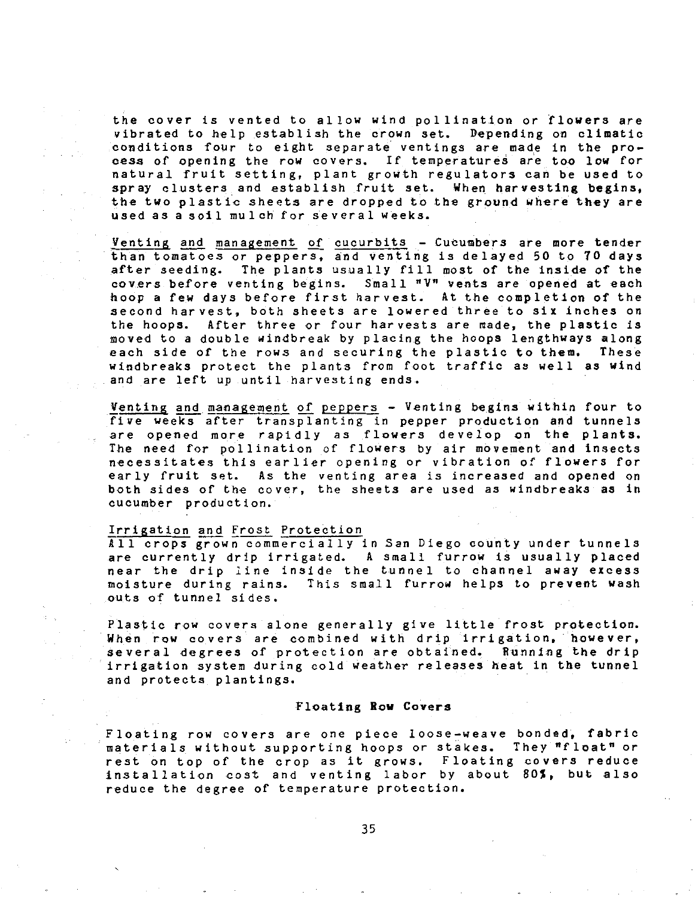the cover is vented to allow wind pollination or flowers are vibrated to help establish the crown set. Depending on climatic conditions foµr to eight separate ventings are made in the process of opening the row covers. If temperatures are too low for natural fruit setting, plant growth regulators can be used to spray clusters and establish fruit set. When harvesting begins, the two plastic sheets are dropped to the ground where they are used as a soil mulch for several weeks.

Venting and management of cucurbits - Cucumbers are more tender than tomatoes or peppers, and venting is delayed 50 to 70 days after seeding. The plants usually fill most of the inside of the covers before venting begins. Small "V" vents are opened at each hoop a few days before first harvest. At the completion of the second harvest, both sheets are lowered three to six inches on the hoops. After three or four harvests are made, the plastic is moved to a double windbreak by placing the hoops lengthways along each side of the rows and securing the plastic to them. These windbreaks protect the plants from foot traffic as well as wind and are left up until harvesting ends.

Venting and management of peppers - Venting begins within four to five weeks after transplanting in pepper production and tunnels are opened more rapidly as flowers develop on the plants. The need for pollination of flowers by air movement and insects necessitates this earlier opening or vibration of flowers for early fruit set. As the venting area is increased and opened on both sides of the cover, the sheets are used as windbreaks as in cucumber production.

### Irrigation and frost Protection

All crops grown commercially in San Diego county under tunnels are currently drip irrigated. A small furrow is usually placed near the drip line inside the tunnel to channel away excess moisture during rains. This small furrow helps to prevent wash outs of tunnel sides.

Plastic row covers alone generally give little frost protection. When row covers are combined with drip irrigation, however, several degrees of protection are obtained. Running the drip irrigation system during cold weather releases heat in the tunnel and protects plantings.

### Floating **Row** Covers

Floating row covers are one piece loose-weave bonded, fabric materials without supporting hoops or stakes. They "float" or rest on top of the crop as it grows. Floating covers reduce installation cost and venting labor by about BOS, but also reduce the degree of temperature protection.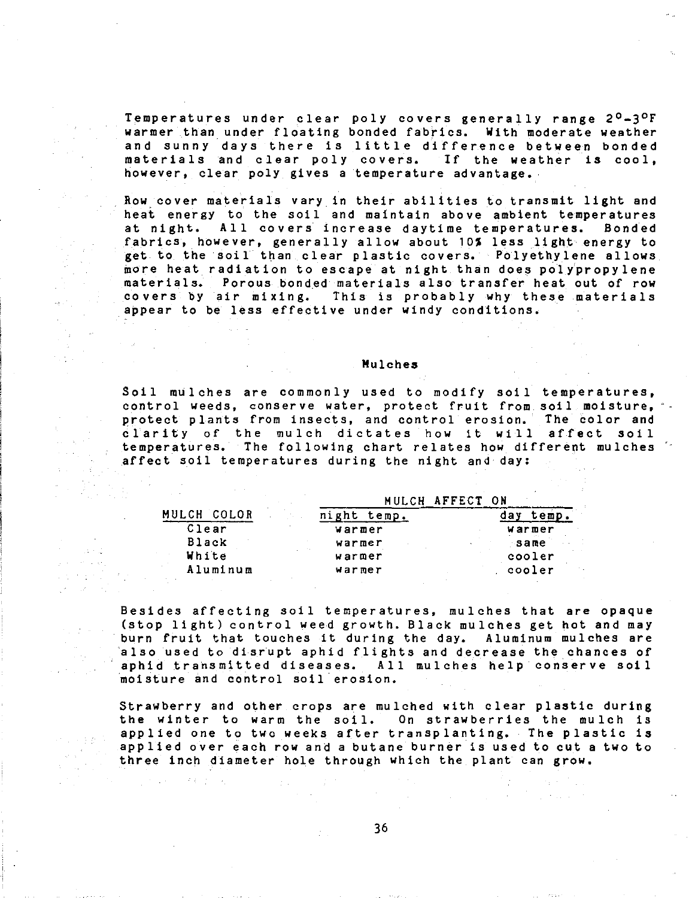Temperatures under clear poly covers generally range 2°-3°F warmer than under floating bonded fabrics. With moderate weather warmer than under ricating bonded rabrics. With moderate weather<br>and sunny days there is little difference between bonded materials and clear poly covers. If the weather is cool, however, clear poly gives a temperature advantage.

Row cover materials vary in their abilities to transmit light and heat energy to the soil and maintain above ambient temperatures at night. All covers increase daytime temperatures. Bonded fabrics, however, generally allow about 10% less light energy to get to the soil than clear plastic covers. Polyethylene allows more heat radiation to escape at night than does polypropylene materials. Porous bonded materials also transfer heat out of row covers by air mixing. This is probably why these materials appear to be less effective under windy conditions.

### Mulches

Soil mulches are commonly used to modify soil temperatures, control weeds, conserve water, protect fruit from soil moisture, protect plants from insects, and control erosion. The color and clarity of the mulch dictates how it will affect soil temperatures. The following chart relates how different mulches affect soil temperatures during the night and day:

|              |                | MULCH AFFECT ON |        |
|--------------|----------------|-----------------|--------|
| MULCH COLOR  | night<br>temp. |                 |        |
| Clear        | warmer         |                 | warmer |
| <b>Black</b> | warmer         |                 | same   |
| White        | warmer         |                 | cooler |
| Aluminum     | warmer         |                 | cooler |
|              |                |                 |        |

Besides affecting soil temperatures, mulches that are opaque (stop light) control weed growth. Black mulches get hot and may burn fruit that touches it during the day. Aluminum mulches are also used to disrupt aphid flights and decrease the chances of<br>aphid transmitted diseases. All mulches help conserve soil All mulches help conserve soil moisture and control soil erosion.

Strawberry and other crops are mulched with clear plastic during the winter to warm the soil. On strawberries the mulch is applied one to two weeks after transplanting. The plastic is applied over each row and a butane burner is used to cut a two to three inch diameter hole through which the plant can grow.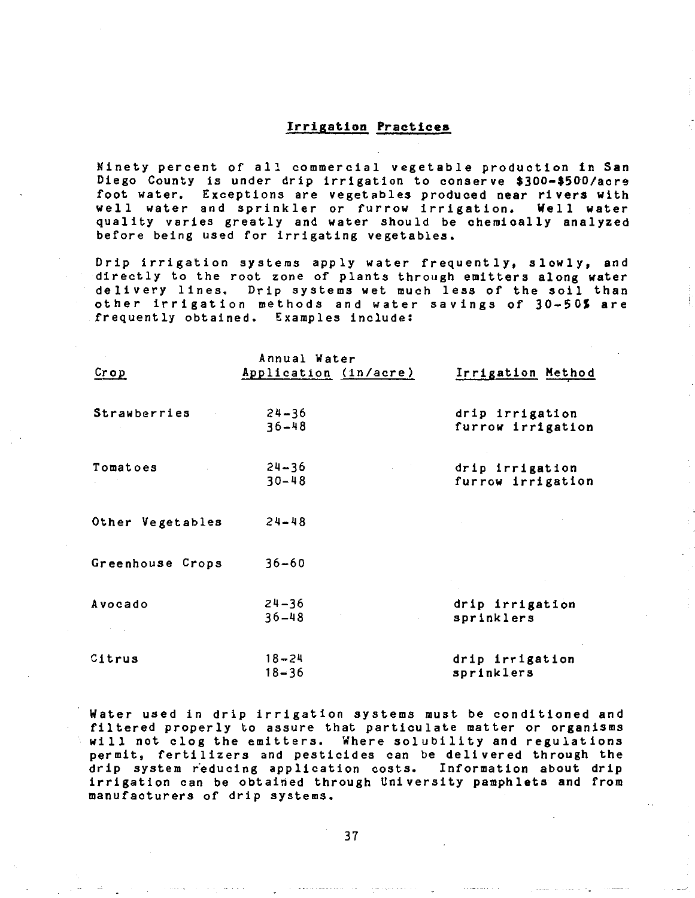### Irrigation **Practices**

Ninety percent of all commercial vegetable production in San Diego County is under drip irrigation to conserve \$300-\$500/acre foot water. Exceptions are vegetables produced near rivers with well water and sprinkler or furrow irrigation. Well water quality varies greatly and water should be chemically analyzed before being used for irrigating vegetables.

Drip irrigation systems apply water frequently, slowly, and directly to the root zone of plants through emitters along water delivery lines. Drip systems wet much less of the soil than other irrigation methods and water savings of 30-SOS are frequently obtained. Examples include:

| Crop             | Annual Water<br>Application (in/acre) | Irrigation Method                    |
|------------------|---------------------------------------|--------------------------------------|
| Strawberries     | $24 - 36$<br>$36 - 48$                | drip irrigation<br>furrow irrigation |
| Tomatoes         | $24 - 36$<br>$30 - 48$                | drip irrigation<br>furrow irrigation |
| Other Vegetables | $24 - 48$                             |                                      |
| Greenhouse Crops | $36 - 60$                             |                                      |
| Avocado          | $24 - 36$<br>$36 - 48$                | drip irrigation<br>sprinklers        |
| Citrus           | $18 - 24$<br>$18 - 36$                | drip irrigation<br>sprinklers        |

Water used in drip irrigation systems must be conditioned and filtered properly to assure that particulate matter or organisms will not clog the emitters. Where solubility and regulations permit, fertilizers and pesticides can be delivered through the drip system reducing application costs. Information about drip irrigation can be obtained through University pamphlets and from manufacturers of drip systems.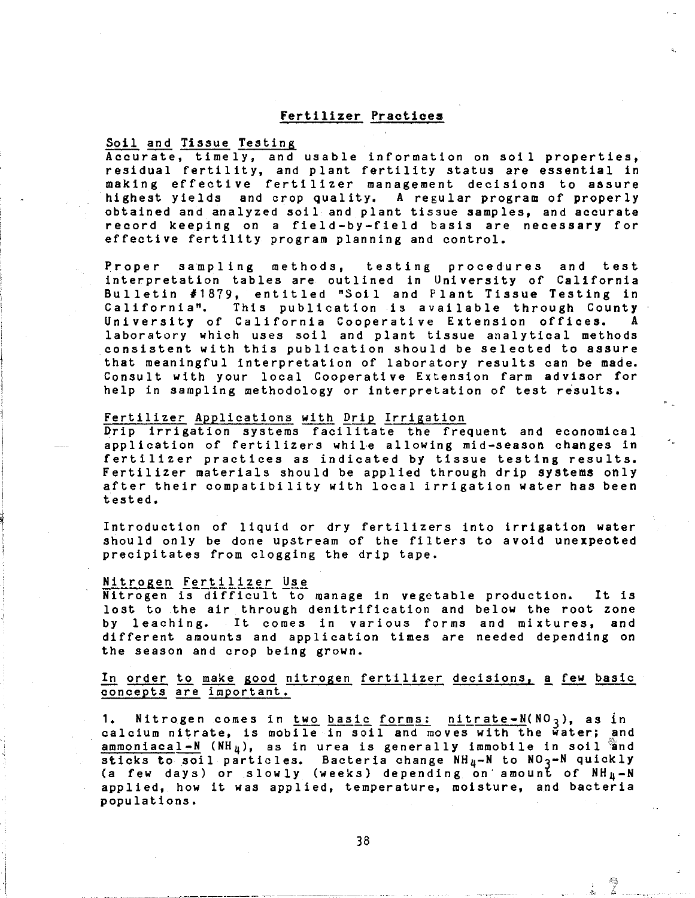### Fertilizer Practices

# Soil and Tissue Testing

Accurate, timely, and usable information on soil properties, residual fertility, and plant fertility status are essential in making effective fertilizer management decisions to assure highest yields and crop quality, A regular program of properly obtained and analyzed soil and plant tissue samples, and accurate record keeping on a field-by-field basis are necessary for effective fertility program planning and control.

Proper sampling methods, testing procedures and test interpretation tables are outlined in University of California Bulletin #1879, entitled "Soil and Plant Tissue Testing in<br>California", This publication is available through County This publication is available through County<br>California Cooperative Extension offices. A University of California Cooperative Extension offices. A laboratory which uses soil and plant tissue analytical methods consistent with this publication should be selected to assure that meaningful interpretation of laboratory results can be made. Consult with your local Cooperative Extension farm advisor for help in sampling methodology or interpretation of test results.

### Fertilizer Applications with Drip Irrigation

Drip irrigation systems facilitate the frequent and economical application of fertilizers while allowing mid-season changes in fertilizer practices as indicated by tissue testing results. Fertilizer materials should be applied through drip systems only after their compatibility with local irrigation water has been tested.

Introduction of liquid or dry fertilizers into irrigation water should only be done upstream of the filters to avoid unexpeoted precipitates from clogging the drip tape.

- ·---------,----------~---~~-------·--··- --- ------:--.. ·--,------ - --

**Nitrogen Fertilizer Use**<br>Nitrogen is difficult to manage in vegetable production. It is lost to the air through denitrification and below the root zone by leaching. It comes in various forms and mixtures, and different amounts and application times are needed depending on the season and crop being grown.

In order to make good nitrogen fertilizer decisions, a few basic concepts are important.

1. Nitrogen comes in two basic forms: nitrate-N(NO<sub>3</sub>), as in calcium nitrate, is mobile in soil and moves with the water; and ammoniacal-N (NH<sub>4</sub>), as in urea is generally immobile in soil and sticks to soil particles. Bacteria change NH<sub>4</sub>-N to NO<sub>3</sub>-N quickly (a few days) or slowly (weeks) depending on' amount of NH4-N applied, how it was applied, temperature, moisture, and bacteria populations.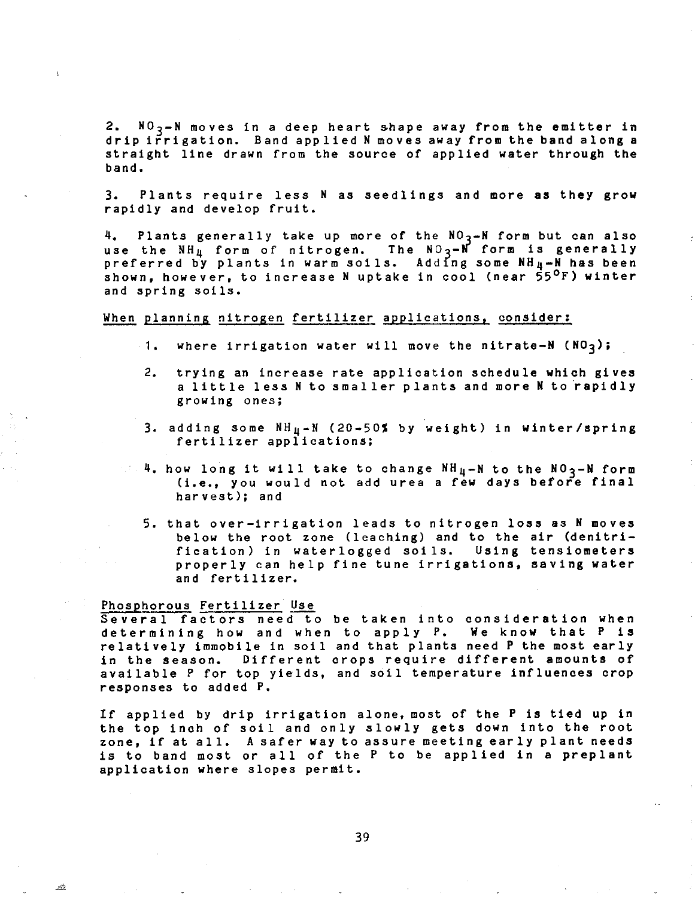2.  $N0<sub>3</sub> - N$  moves in a deep heart shape away from the emitter in drip irrigation. Band applied N moves away from the band along a straight line drawn from the source of applied water through the band.

3. Plants require less N as seedlings and more as they grow rapidly and develop fruit.

4. Plants generally take up more of the  $NO<sub>3</sub>$ -N form but can also use the  $NH_{\rm H}$  form of nitrogen. The  $NO_{\rm Q}$ -N form is generally preferred by plants in warm soils. Adding some  $NH_4-M$  has been shown, however, to increase N uptake in cool (near 55°F) winter and spring soils.

### When planning nitrogen fertilizer applications, consider:

- 1. where irrigation water will move the nitrate-N  $(NO_{3})$ ;
- 2. trying an increase rate application schedule which gives a little less N to smaller plants and more N to rapidly growing ones;
- 3. adding some  $NH_{H} N$  (20-50% by weight) in winter/spring fertilizer applications;
- $\sim$  4. how long it will take to change NH $_{\rm H}-$ N to the NO  $_{\rm Z}-$ N form (i.e., you would not add urea a few days before final harvest); and
	- 5. that over-irrigation leads to nitrogen loss as N moves below the root zone (leaching) and to the air (denitrification) in waterlogged soils. Using tensiometers properly can help fine tune irrigations, saving water and fertilizer.

### Phosphorous Fertilizer Use

Several factors need to be taken into consideration when determining how and when to apply P. We know that P is relatively immobile in soil and that plants need P the most early in the season. Different crops require different amounts of available P for top yields, and soil temperature influences crop responses to added P.

If applied by drip irrigation alone, most of the P is tied up in the top inch of soil and only slowly gets down into the root zone, if at all. A safer way to assure meeting early plant needs is to band most or all of the P to be applied in a preplant application where slopes permit.

39

 $\pm \Omega$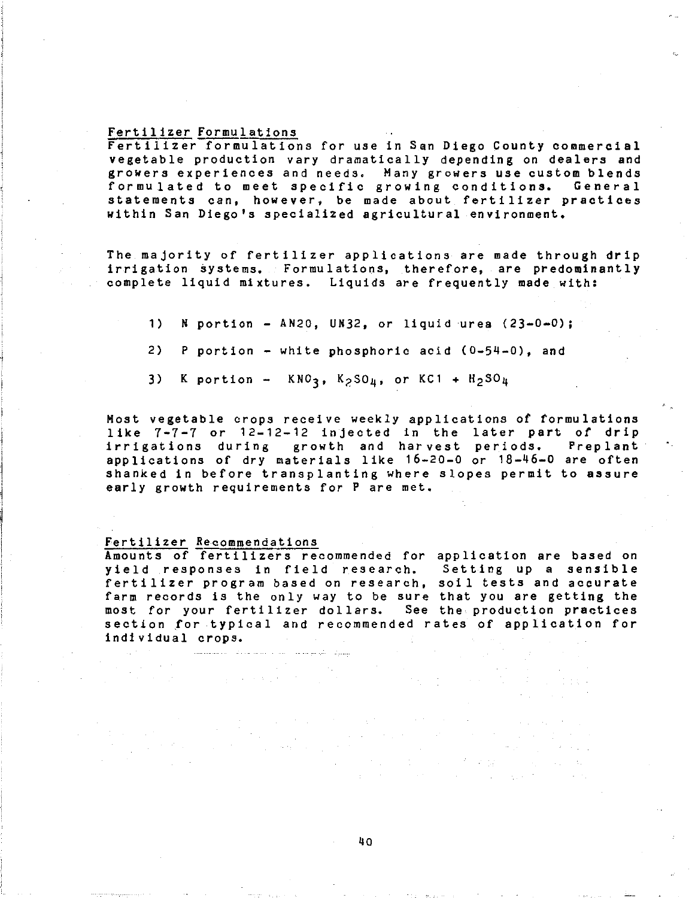### Fertilizer Formulations

Fertilizer formulations for use in San Diego County commercial vegetable production vary dramatically depending on dealers and growers experiences and needs. Many growers use custom blends formulated to meet specific growing conditions. General statements can, however, be made about fertilizer practices within San Diego's specialized agricultural environment.

The majority of fertilizer applications are made through drip irrigation systems. Formulations, therefore, are predominantly complete liquid mixtures. Liquids are frequently made with:

- 1) N portion AN20, UN32, or liquid urea  $(23-0-0)$ ;
- 2) P portion white phosphoric acid (0-54-0), and
- K portion  $KNO_3$ ,  $K_2SO_{\mu}$ , or  $KCl + H_2SO_{\mu}$ 3)

Most vegetable crops receive weekly applications of formulations like 7-7-7 or 12-12-12 injected in the later part of drip irrigations during growth and harvest periods. Preplant applications of dry materials like 16-20-0 or 18-46-0 are often shanked in before transplanting where slopes permit to assure early growth requirements for P are met,

### Fertilizer Recommendations

Amounts of fertilizers recommended for application are based on yield responses in field research. Setting up a sensible fertilizer program based on research, soil tests and accurate farm records is the only way to be sure that you are getting the most for your fertilizer dollars. See the production practices section *for* typical and recommended rates of application for in di vi dual crops.

**TECHNOLOGY STATE**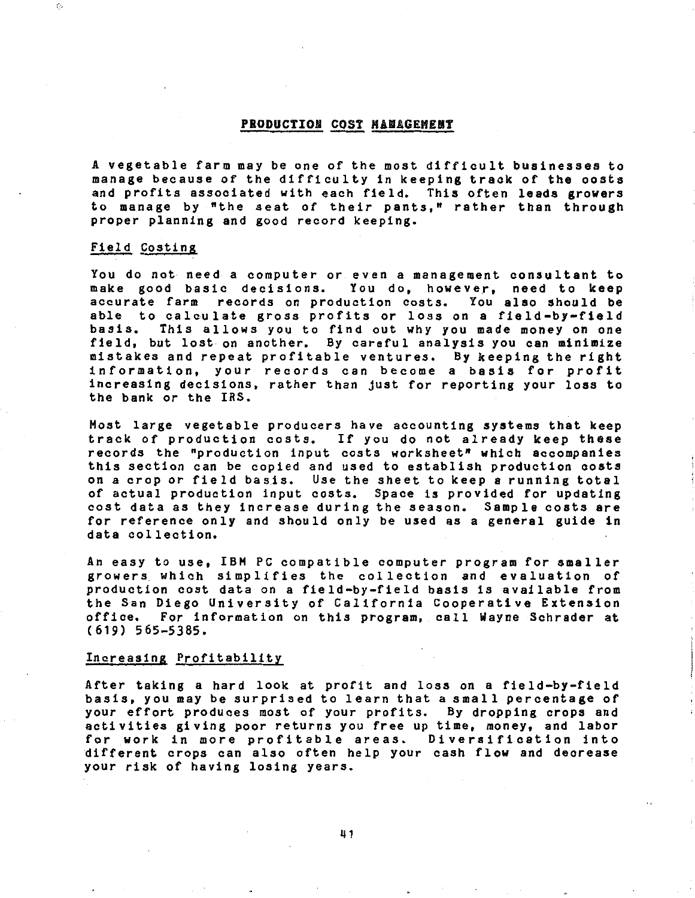### PRODUCTION COST MANAGEMENT

A vegetable farm may be one of the most difficult businesses to manage because of the difficulty in keeping track of the costs and profits associated with each field. This often leads growers to manage by "the seat of their pants," rather than through proper planning and good record keeping.

### Field Costing

Ę.

You do not need a computer or even a management consultant to make good basic decisions. You do, however, need to keep accurate farm records on production costs. You also should be able to calculate gross profits or loss on a field-by-field<br>basis. This allows you to find out why you made money on one This allows you to find out why you made money on one field, but lost on another. By careful analysis you can minimize mistakes and repeat profitable ventures. By keeping the right information, your records can become a basis for profit increasing decisions, rather than just for reporting your loss to the bank or the IRS.

Most large vegetable producers have accounting systems that keep track of production costs. If you do not already keep these records the "production input costs worksheet" which accompanies this section can be copied and used to establish production costs on a crop or field basis. Use the sheet to keep a running total of actual production input costs. Space is provided for updating cost data as they increase during the season. Sample coats are for reference only and should only be used as a general guide in data collection.

An easy to use, IBH PC compatible computer program for smaller growers. which simplifies the collection and evaluation of production cost data on a field-by-field basis is available from the San Diego University of California Cooperative Extension office. For information on this program, call Wayne Schrader at (619) 565-5385.

### Increasing Profitability

After taking a hard look at profit and loss on a field-by-field basis, you may be surprised to learn that a small percentage of your effort produces most of your profits. By dropping crops and activities giving poor returns you free up time, money, and labor for work in more profitable areas. Diversification into different crops can also often help your cash flow and decrease your risk of having losing years.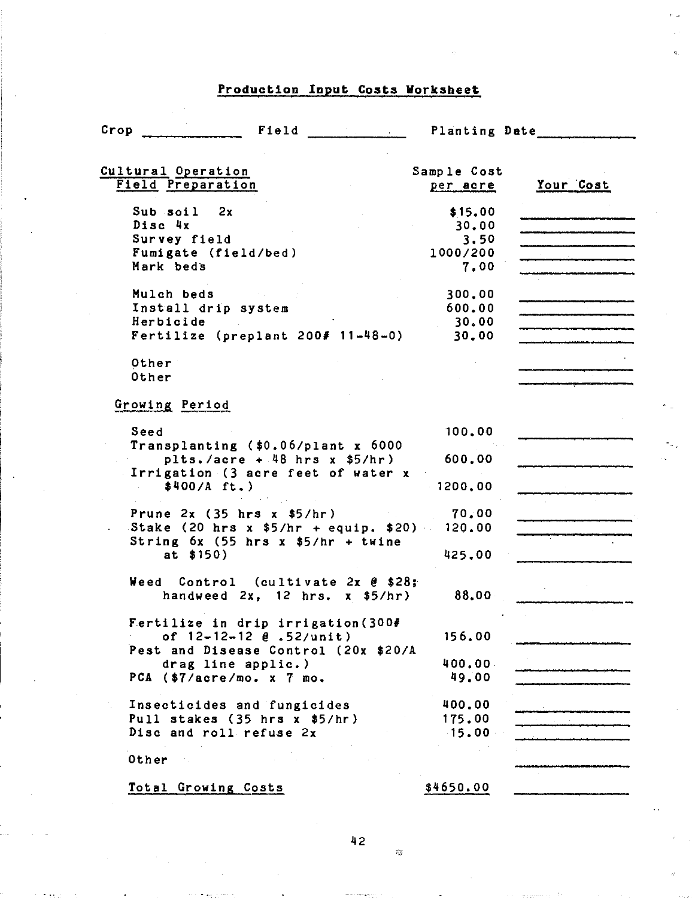# Production Input Costa Worksheet

| Crop<br>Field                                                                    | <b>Planting Date</b>    |           |
|----------------------------------------------------------------------------------|-------------------------|-----------|
| Cultural Operation<br><b>Field Preparation</b>                                   | Sample Cost<br>per acre | Your Cost |
| $Sub$ soil $2x$                                                                  | \$15.00                 |           |
| Disc 4x                                                                          | 30.00                   |           |
| Survey field                                                                     | 3.50                    |           |
| Fumigate (field/bed)                                                             | 1000/200                |           |
| Mark beds                                                                        | 7.00                    |           |
| Mulch beds                                                                       | 300,00                  |           |
| Install drip system                                                              | 600.00                  |           |
| Herbicide                                                                        | 30.00                   |           |
| Fertilize (preplant $200 \neq 11-48-0$ )                                         | 30,00                   |           |
| Other                                                                            |                         |           |
| Other                                                                            |                         |           |
| Growing Period                                                                   |                         |           |
| Seed                                                                             | 100,00                  |           |
| Transplanting (\$0.06/plant x 6000                                               |                         |           |
| plts./acre + $48$ hrs x $$5/hr$ )                                                | 600.00                  |           |
| Irrigation (3 acre feet of water x                                               |                         |           |
| \$400/A ft.                                                                      | 1200,00                 |           |
| Prune $2x$ (35 hrs $x$ \$5/hr)                                                   | 70.00                   |           |
| Stake (20 hrs x $$5/hr + equip. $20$ )                                           | 120.00                  |           |
| String $6x$ (55 hrs $x$ \$5/hr + twine                                           |                         |           |
| at $$150)$                                                                       | 425.00                  |           |
| Weed Control (cultivate $2x \theta$ \$28;<br>handweed $2x$ , 12 hrs. $x$ \$5/hr) | 88.00                   |           |
| Fertilize in drip irrigation (300#                                               |                         |           |
| of $12 - 12 - 12$ e .52/unit)                                                    | 156.00                  |           |
| Pest and Disease Control (20x \$20/A                                             |                         |           |
| drag line applic.)                                                               | 400.00                  |           |
| PCA (\$7/acre/mo. x 7 mo.                                                        | 49.00                   |           |
| Insecticides and fungicides                                                      | 400.00                  |           |
| Pull stakes $(35 \text{ hrs} x 45/hr)$                                           | 175.00                  |           |
| Disc and roll refuse 2x                                                          | 15.00                   |           |
| Other                                                                            |                         |           |
| Total Growing Costs                                                              | \$4650.00               |           |

42

 $\tilde{r}^{\rm eq}_{\tilde{\chi}^0_2}$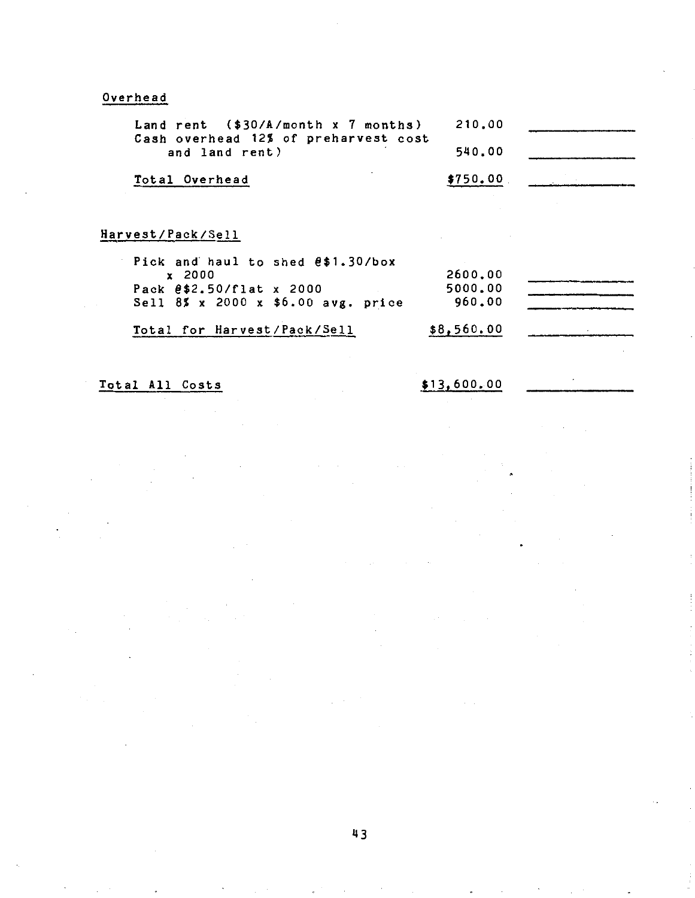# Overhead

| Land rent $(*30/A/month x 7 months)$<br>Cash overhead 12% of preharvest cost | 210.00     |  |
|------------------------------------------------------------------------------|------------|--|
| and land rent)                                                               | 540.00     |  |
| Total Overhead                                                               | \$750.00   |  |
|                                                                              |            |  |
| Harvest/Pack/Sell                                                            |            |  |
| Pick and haul to shed $0.30$ /box                                            |            |  |
| x 2000                                                                       | 2600,00    |  |
| Pack $0.50/f$ lat x 2000                                                     | 5000.00    |  |
| Sell 8% x 2000 x \$6.00 avg. price                                           | 960.00     |  |
| Total for Harvest/Pack/Sell                                                  | \$8,560.00 |  |

Total All Costs

\$13,600.00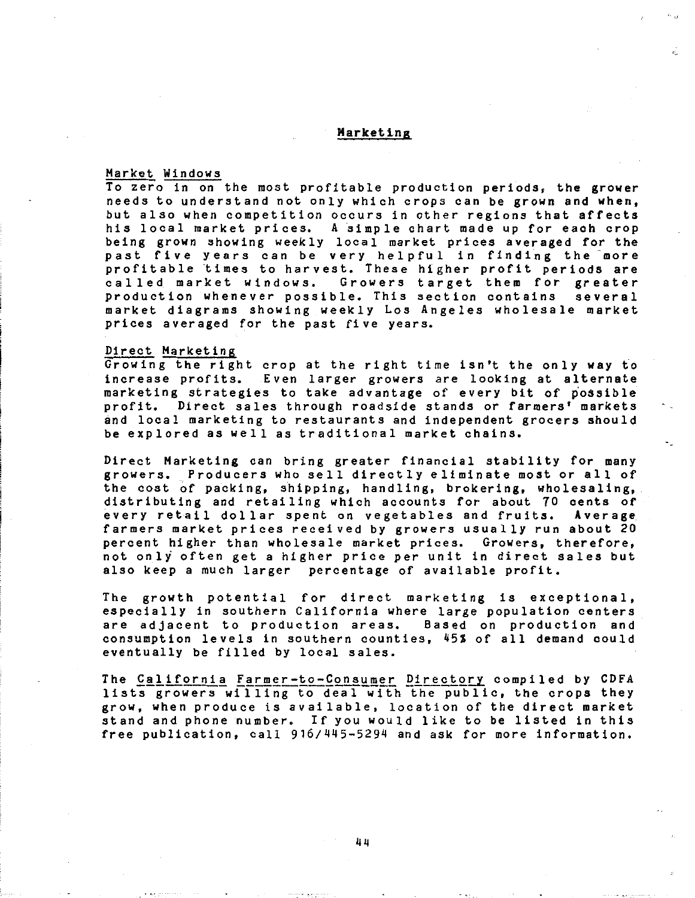### Marketing

 $\ddot{r}$ 

### Market Windows

To zero in on the most profitable production periods, the grower needs to understand not only which crops can be grown and when, but also when competition occurs in other regions that affects his local market prices. A simple chart made up for each crop being grown showing weekly local market prices averaged for the past five years can be very helpful in finding the more profitable times to harvest. These higher profit periods are<br>called market windows. Growers target them for greater Growers target them for greater<br>le. This section contains several production whenever possible. This section contains market diagrams showing weekly Los Angeles wholesale market prices averaged for the past five years.

### Direct Marketing

Growing the right crop at the right time isn't the only way to increase profits. Even larger growers are looking at alternate marketing strategies to take advantage of every bit of possible profit. Direct sales through roadside stands or farmers' markets and local marketing to restaurants and independent grocers should be explored as well as traditional market chains.

Direct Marketing can bring greater financial stability for many growers. Producers who sell directly eliminate most or all of the cost of packing, shipping, handling, brokering, wholesaling, distributing and retailing which accounts for about 70 cents of every retail dollar spent on vegetables and fruits. farmers market prices received by growers usually run about 20 percent higher than wholesale market prices. Growers, therefore, not only often get a higher price per unit in direct sales but also keep a much larger percentage of available profit.

The growth potential for direct marketing is exceptional, especially in southern California where large population centers are adjacent to production areas. Based on production and consumption levels in southern counties, 45% of all demand could eventually be filled by local sales.

The California Farmer-to-Consumer Directory compiled by CDFA lists growers willing to deal with the public, the crops they grow, when produce is available, location of the direct market stand and phone number. If you would like to be listed in this free publication, call 916/445-5294 and ask for more information.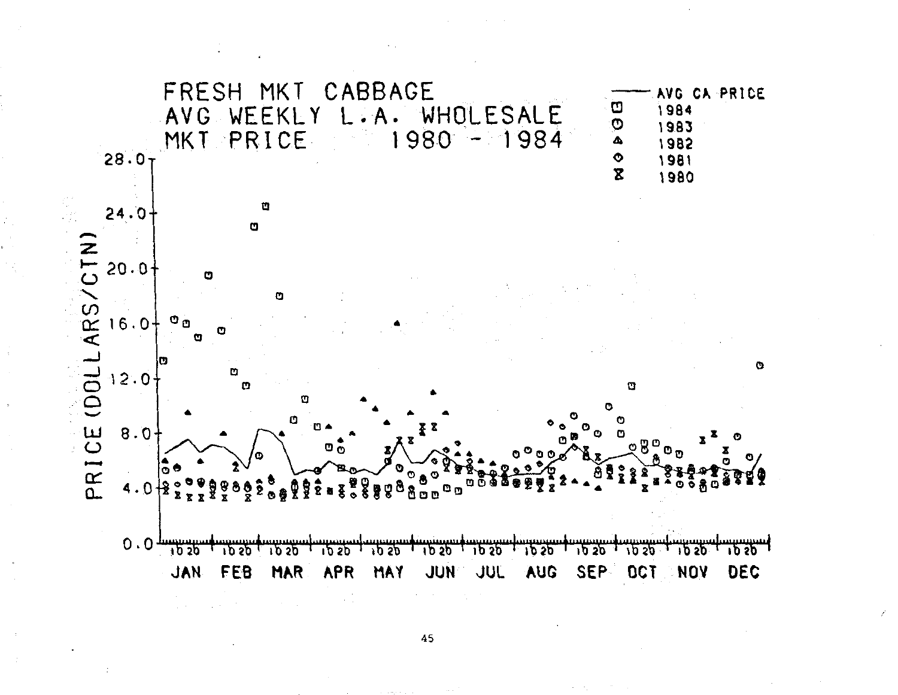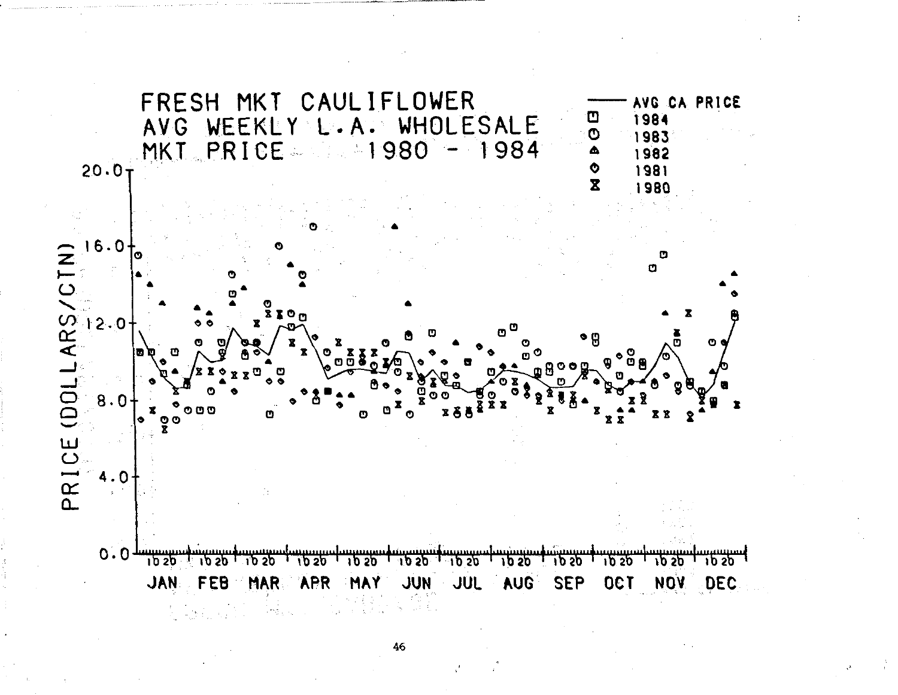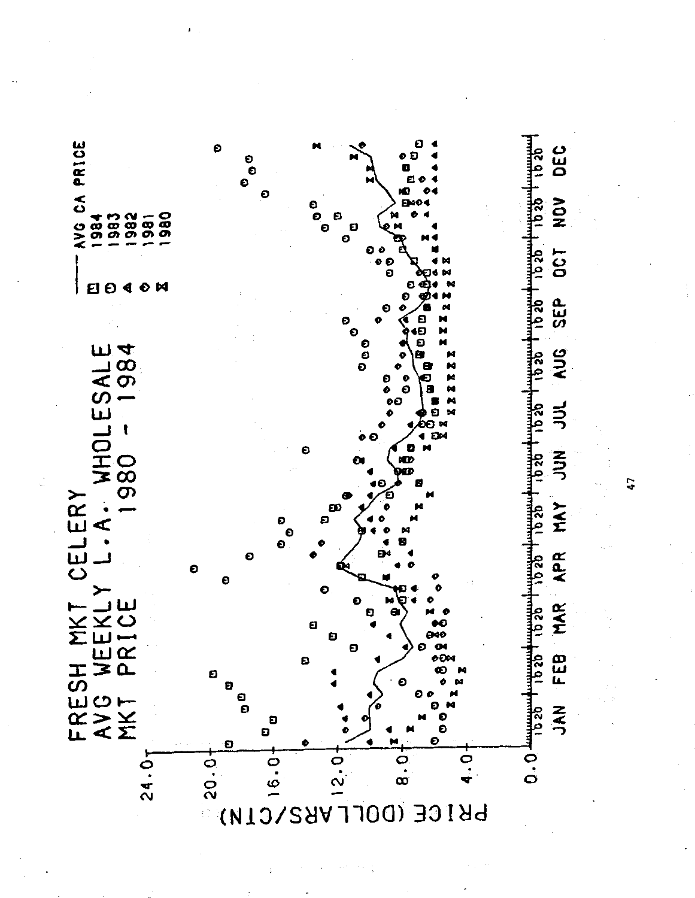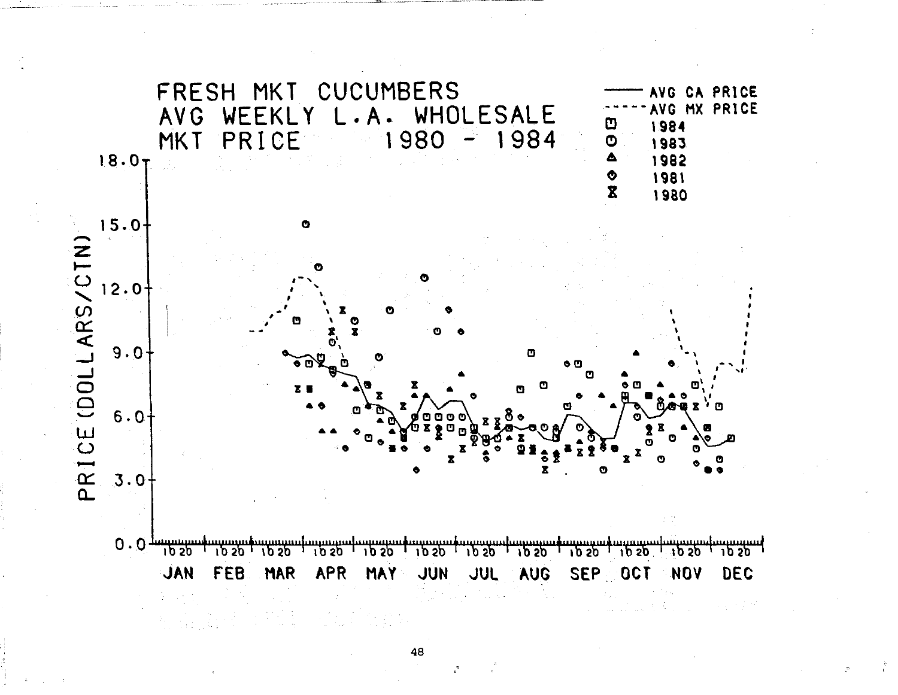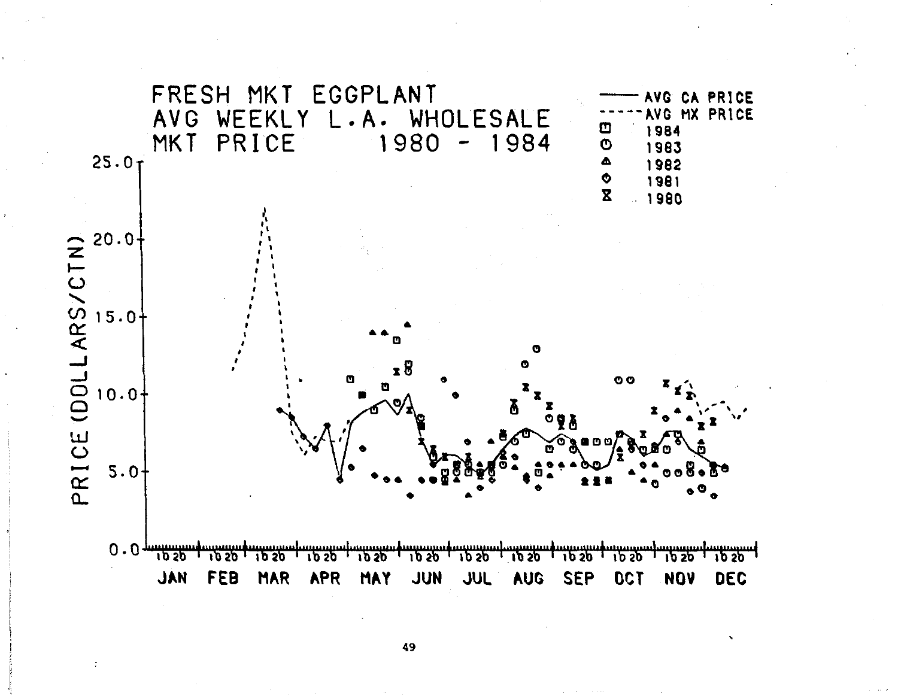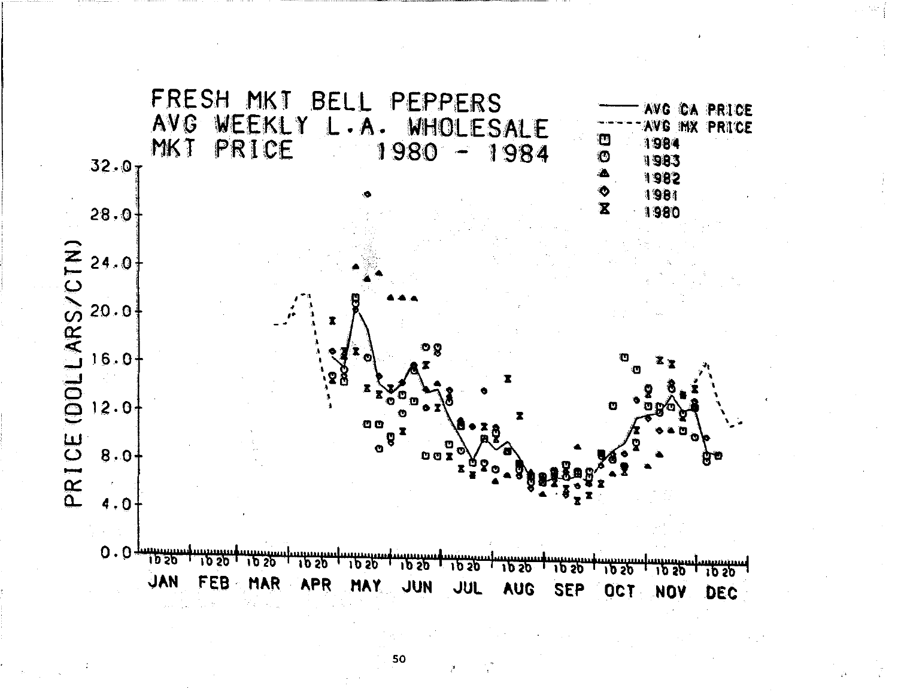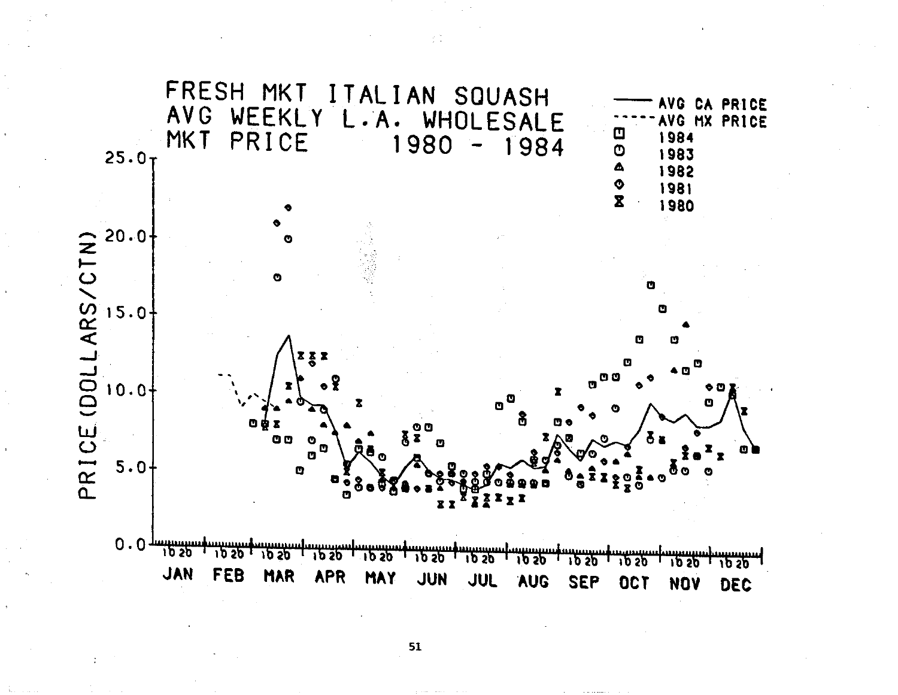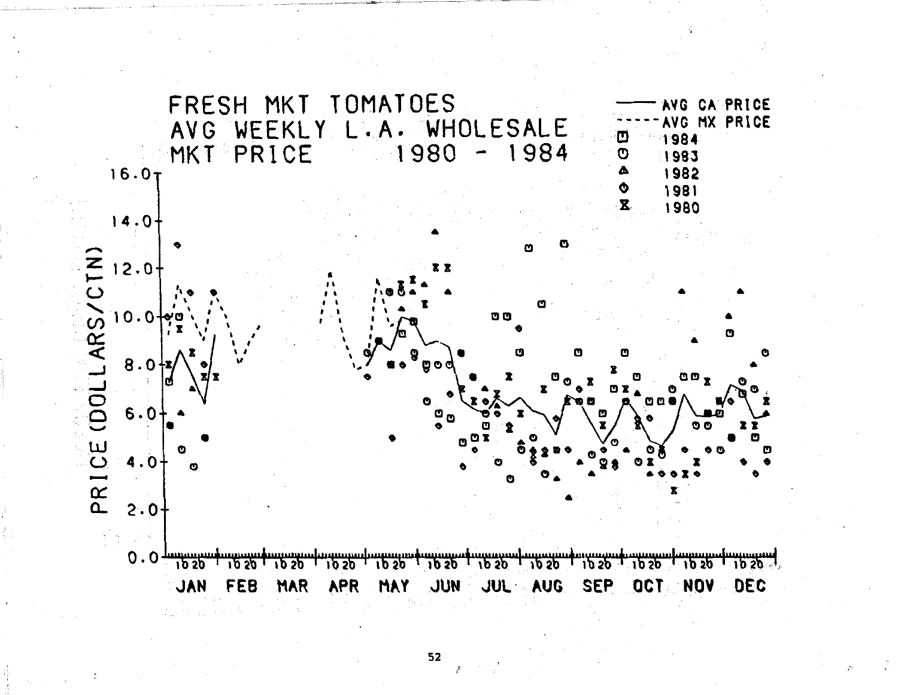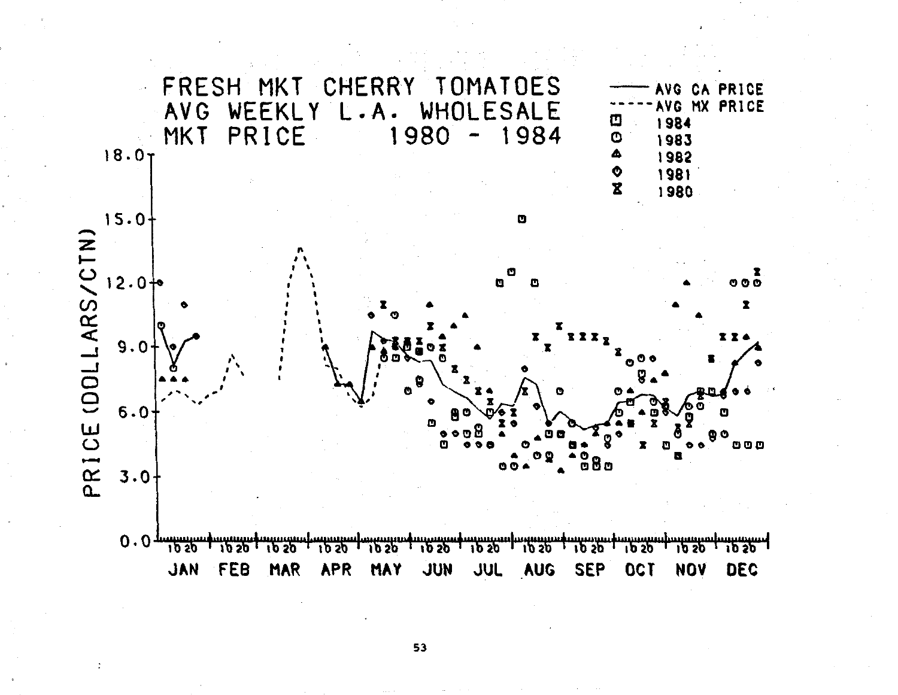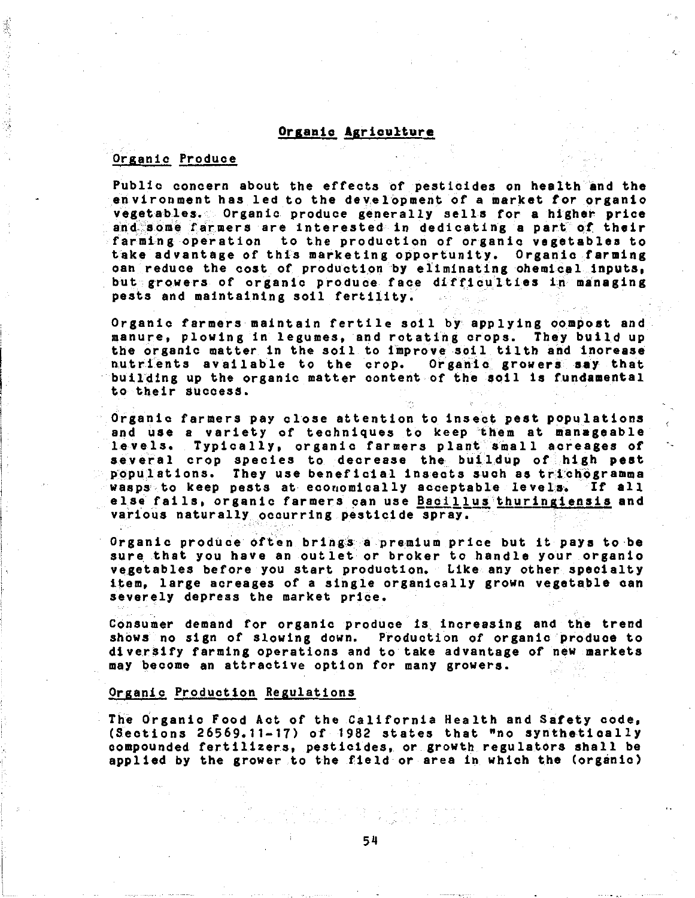### Organic Agriculture

### Organic Produce

Public concern about the effects of pesticides on health and the environment has led to the development of a market for organic vegetables. Organic produce generally sells for a higher price and'some farmers are interested in dedicating a part of their farming operation to the production of organic vegetables to take advantage of this marketing opportunity. Organic farming oan reduce the cost of production by eliminating chemical inputs, but growers of organic produce face difficulties in managing pests and maintaining soil fertility.

 $^L$ ,,

Organic farmers maintain fertile soil by applying compost and manure, plowing in legumes, and rotating crops. They build up the organic matter in the soil to improve soil tilth and increase nutrients available to the crop. Organic growers say that building up the organic matter content of the soil is fundamental to their success.

Organic farmers pay close attention to insect pest populations and use a variety of techniques to keep them at manageable levels. Typically, organic farmers plant small acreages of several crop species to decrease the buildup of high pest populations. They use beneficial insects such as trichogramma wasps to keep pests at economically acceptable levels. If all else fails, organic farmers can use **Bacillus** thuringiensis and various naturally occurring pesticide spray,

Organic produce often brings a premium price but it pays to be sure that you have an outlet or broker to handle your organic vegetables before you start production. Like any other specialty item, large acreages of a single organically grown vegetable can severely depress the market price.

Consumer demand for organic produce is. increasing and the trend shows no sign of slowing down. Production of organic produce to diversify farming operations and to take advantage of new markets may become an attractive option for many growers.

### Organic Production Regulations

The drganic Food Act of the California Health and Safety code, (Sections 26569,11-17) of 1982 states that "no synthetically compounded fertilizers, pesticides, or growth regulators shall be applied by the grower to the field or area in which the (organic)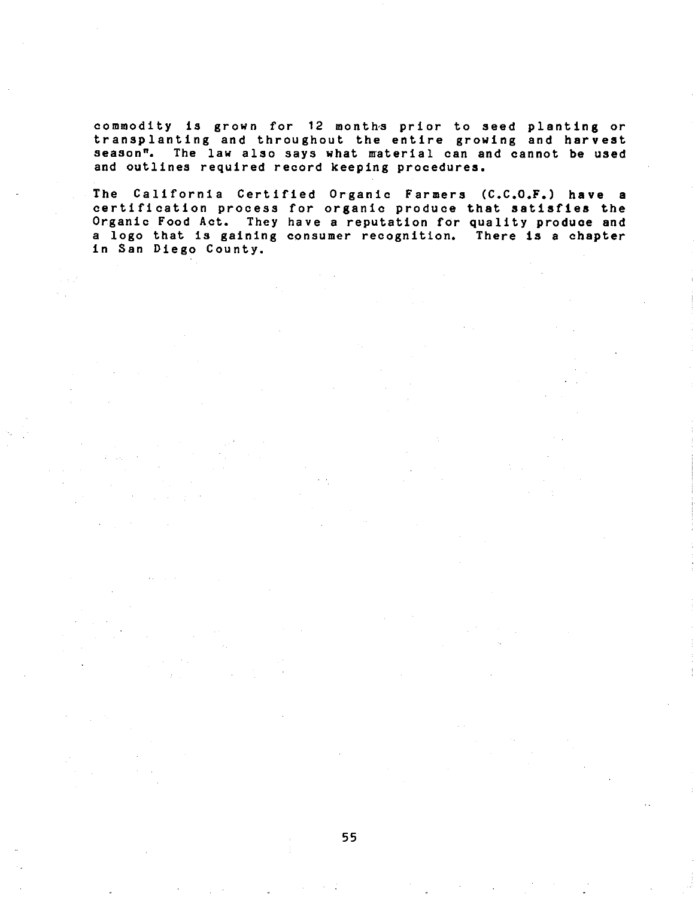commodity is grown for 12 month-s prior to seed planting or transplanting and throughout the entire growing and harvest season". The law also says what material can and cannot be used and outlines required record keeping procedures.

The California Certified Organic Farmers (C.C.O.F.) have a certification process for organic produce that satisfies the Organic Food Act. They have a reputation for quality produce and a logo that is gaining consumer recognition. There is a chapter in San Diego County.

 $\sim 10^7$ 

 $\sim 5\%$ 

 $\sim 12$ 

 $\mathcal{L}_{\rm{max}}$ 

 $\hat{\mathcal{A}}$ 

 $\mathcal{L}^{\mathcal{L}}(\mathcal{A})$  . The signal  $\mathcal{L}^{\mathcal{L}}(\mathcal{A})$ 

 $\mathcal{L}^{\text{max}}_{\text{max}}$ 

 $\mathcal{A}^{\text{max}}_{\text{max}}$ 

 $\Delta \sim 10^4$ 

 $\mathcal{A}=\mathcal{A}$ 

 $\mathcal{L}^{\mathcal{L}}$  , where  $\mathcal{L}^{\mathcal{L}}$  and  $\mathcal{L}^{\mathcal{L}}$  are  $\mathcal{L}^{\mathcal{L}}$  . Then  $\mathcal{L}^{\mathcal{L}}$ 

 $\mathcal{L}_{\mathrm{c}}$  ,  $\mathcal{L}_{\mathrm{c}}$  ,  $\mathcal{L}_{\mathrm{c}}$  ,  $\mathcal{L}_{\mathrm{c}}$ 

 $\mathcal{L}(\mathcal{A})$  , and  $\mathcal{L}(\mathcal{A})$  , and  $\mathcal{L}(\mathcal{A})$ 

 $\mathcal{L}^{\text{max}}_{\text{max}}$  and  $\mathcal{L}^{\text{max}}_{\text{max}}$ 

 $\frac{1}{\sqrt{2}}\left(\frac{1}{2}\left(1-\frac{1}{2}\right)\right)\frac{1}{2}=\frac{1}{2}\left(\frac{1}{2}\right)\frac{1}{2}$ 

 $\mathcal{A}^{\text{max}}_{\text{max}}$ 

 $\sim 20\,M_\odot$ 

 $\mathcal{L}_{\mathcal{A}}(t)$  and  $\mathcal{L}_{\mathcal{A}}$ 

 $\frac{1}{2} \left( \frac{1}{2} \right)^2$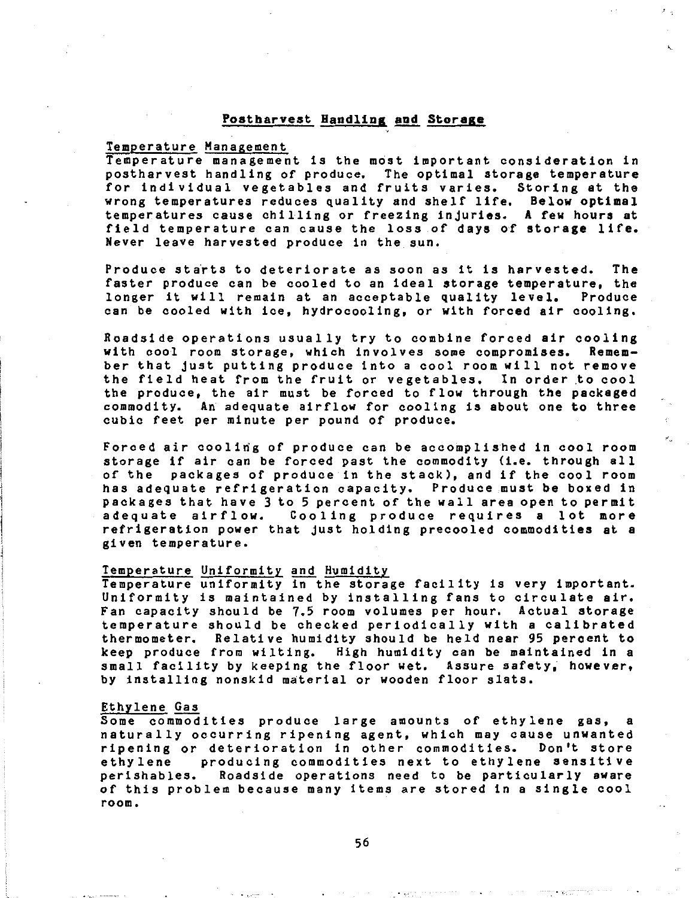### Postbarvest Handlins and Storage

### Temperature Management

Temperature management is the most important consideration in postharvest handling of produce. The optimal storage temperature for individual vegetables and fruits varies. wrong temperatures reduces quality and shelf life. Below optimal temperatures cause chilling or freezing injuries. A few hours at field temperature can cause the loss of days of storage life. Never leave harvested produce in the sun.

Produce starts to deteriorate as soon as it is harvested. The faster produce can be cooled to an ideal storage temperature, the<br>longer it will remain at an acceptable quality level. Produce longer it will remain at an acceptable quality level. can be cooled with ice, hydrocooling, or with forced air cooling.

Roadside operations usually try to combine forced air cooling<br>with cool room storage, which involves some compromises. Rememwith cool room storage, which involves some compromises. ber that just putting produce into a cool room will not remove the field heat from the fruit or vegetables. In order to cool the produce, the air must be forced to flow through the packaged commodity. An adequate airflow for cooling is about one to three cubic feet per minute per pound of produce.

Forced air coolirig of produce can be accomplished in cool room storage if air can be forced past the commodity (i.e. through all of the packages of produce in the stack), and if the cool room has adequate refrigeration capacity. Produce must be boxed in packages that have 3 to 5 percent of the wall area open to permit adequate airflow. Cooling produce requires a lot more refrigeration power that just holding precooled commodities at a given temperature.

### Temperature Uniformity and Humidity

Temperature uniformity in the storage facility is very important. Uniformity is maintained by installing fans to circulate air. Fan capacity should be 7.5 room volumes per hour. Actual storage temperature should be checked periodically with a calibrated thermometer. Relative humidity should be held near 95 percent to keep produce from wilting. High humidity can be maintained in a small facility by keeping the floor wet. Assure safety, however, by installing nonskid material or wooden floor slats.

### Ethylene Gas

Some commodities produce large amounts of ethylene gas, a naturally occurring ripening agent, which may cause unwanted ripening or deterioration in other commodities. Don't store ethylene producing commodities next to ethylene sensitive perishables. Roadside operations need to be particularly aware of this problem because many items are stored in a single cool **room.**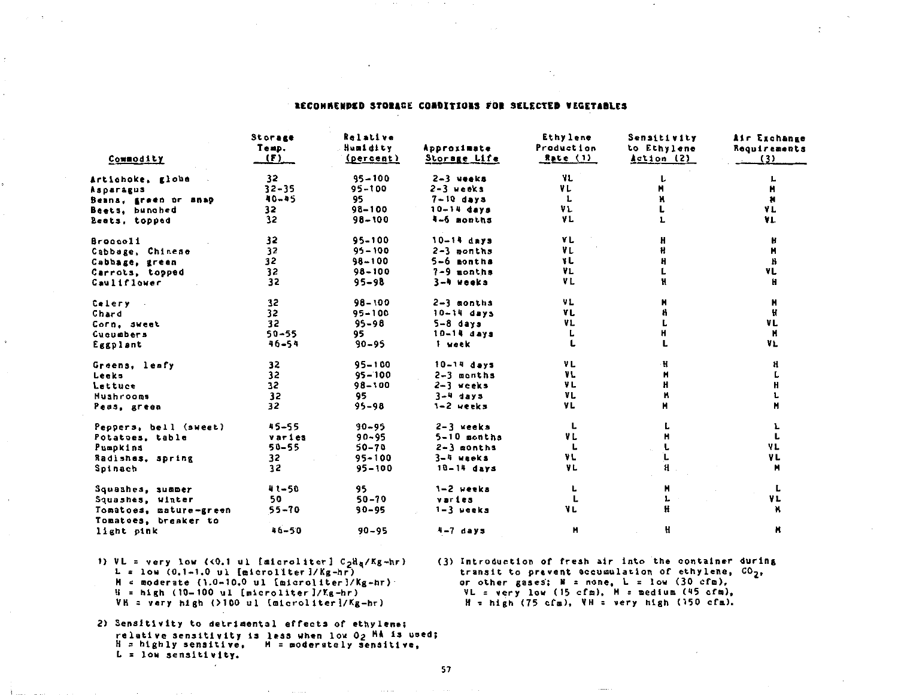### RECONNERDED STORAGE CONDITIONS FOR SELECTED VEGETABLES

| Commodity                                      | Storage<br>Temp.<br>(F) | Relative<br>Humidity<br>(percent) | Approximate<br>Storage Life | Ethylene<br>Production<br>Rate (1) | Sensitivity<br>to Ethylene<br>Action (2) | Air Exchange<br>Requirements<br>(3) |
|------------------------------------------------|-------------------------|-----------------------------------|-----------------------------|------------------------------------|------------------------------------------|-------------------------------------|
| Artichoke, globa                               | 32                      | $95 - 100$                        | $2-3$ weeks                 | VL                                 |                                          |                                     |
| Asparagus                                      | $32 - 35$               | $95 - 100$                        | $2-3$ weeks                 | VL                                 |                                          | н                                   |
| Beans, green or snap                           | 40-45                   | 95                                | $7-10$ days                 | L                                  |                                          | Ħ                                   |
| Beets, bunched                                 | 32                      | $98 - 100$                        | $10 - 14$ days              | VL                                 |                                          | VL.                                 |
| Beets, topped                                  | 32                      | $98 - 100$                        | 4-6 months                  | VL                                 |                                          | YL                                  |
| <b>Broccoli</b>                                | 32                      | $95 - 100$                        | $10-14$ days                | ۷L                                 | H                                        | H                                   |
| Cabbage, Chinese                               | 32                      | $95 - 100$                        | $2-3$ months                | VL                                 | Ħ                                        | н                                   |
| Cabbage, green                                 | 32                      | $98 - 100$                        | 5-6 months                  | VL.                                |                                          | н                                   |
| Carrots, topped                                | 32                      | $98 - 100$                        | $7-9$ months                | VL.                                |                                          | ٧L                                  |
| Cauliflower                                    | 32                      | $95 - 98$                         | 3-4 weeks                   | VL                                 | H                                        | н                                   |
| Celery                                         | 32                      | $98 - 100$                        | $2 - 3$ months              | VL                                 | H                                        | н                                   |
| Chard                                          | 32                      | $95 - 100$                        | $10 - 14$ days              | YL                                 |                                          | H                                   |
| Corn, sweet                                    | 32                      | $95 - 98$                         | $5-8$ days                  | VL.                                |                                          | VL                                  |
| Cucumbers                                      | $50 - 55$               | 95                                | $10-14$ days                | L                                  |                                          | N                                   |
| Eggplant                                       | 46-54                   | $90 - 95$                         | 1 week                      | L                                  |                                          | VL                                  |
| Greens, leafy                                  | 32                      | $95 - 100$                        | $10 - 14$ days              | VL.                                | H                                        | H                                   |
| Leeks                                          | 32                      | $95 - 100$                        | $2-3$ months                | ٧L                                 | н                                        |                                     |
| Lettuce                                        | 32                      | $98 - 100$                        | $2-3$ weeks                 | VL                                 | н                                        |                                     |
| <b>Mushrooms</b>                               | 32                      | 95                                | $3-4$ days                  | VL                                 |                                          |                                     |
| Peas, green                                    | 32                      | $95 - 98$                         | 1-2 weeks                   | YL                                 | н                                        | н                                   |
| Peppers, bell (sweet)                          | $-55 - 55$              | $90 - 95$                         | 2-3 weeks                   | L                                  |                                          |                                     |
| Potatoes, table                                | varies                  | $90 - 95$                         | $5-10$ months               | VL                                 |                                          | L                                   |
| Pumpkins                                       | $50 - 55$               | 50-70                             | $2 - 3$ months              | L                                  |                                          | VL                                  |
| Radishes, spring                               | 32                      | $95 - 100$                        | 3-4 weeks                   | VL                                 |                                          | VL                                  |
| Spinach                                        | 32                      | $95 - 100$                        | $10-14$ days                | VL                                 | H                                        | Ħ                                   |
| Squashes, summer                               | $41 - 50$               | 95                                | 1-2 weeka                   | L                                  | н                                        | L                                   |
| Squashes, winter                               | 50                      | $50 - 70$                         | varies                      | L.                                 |                                          | ۷L                                  |
| Tomatoes, mature-green<br>Tomatoes, breaker to | $55 - 70$               | $90 - 95$                         | $1-3$ weeks                 | VL.                                | Ħ                                        |                                     |
| light pink                                     | $16 - 50$               | $90 - 95$                         | 4-7 days                    | н                                  | H                                        | н                                   |

1) VL = very low ( $0.1$  ul [microliter]  $C_2H_R/Kg+hr$ )  $L = \text{low}$  (0.1-1.0 ul [microliter]/Kg-hr)  $M =$  moderate (1.0-10.0 ul [microliter]/Kg-hr)  $H = h1gh$  (10-100 ul [microliter]/Kg-hr) VH = very high (>100 ul [microliter]/Kg-hr)

(3) Introduction of fresh air into the container during transit to prevent accumulation of ethylene, CO<sub>2</sub>, or other gases;  $B = none$ ,  $L = 1$ ow (30 cfm), VL = very low (15 cfm), M = medium (45 cfm),  $H = h1gh$  (75 cfm), VH = very high (150 cfm).

2) Sensitivity to detrimental effects of ethylene; relative sensitivity is less when low O2 MA is used; H = highly sensitive, M = moderately sensitive,  $L =$  low sensitivity.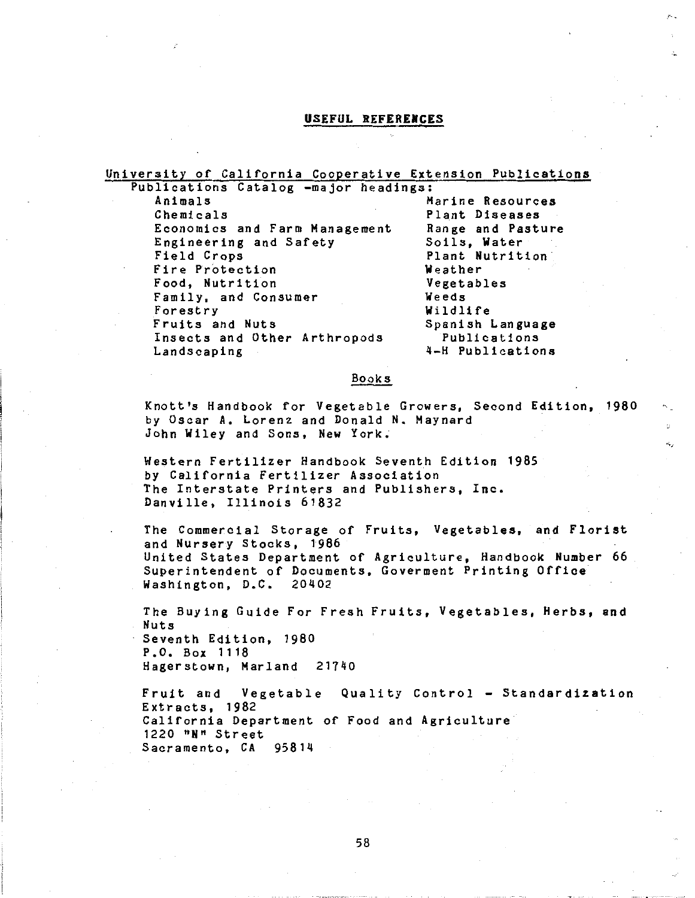### USEFUL REFERENCES

University of California Cooperative Extension Publications Publications Catalog -major headings: Animals Marine Resources<br>Chemicals Marine Plant Diseases Plant Diseases<br>Range and Pasture Economics and Farm Management Range and Pa<br>Engineering and Safety Soils, Water Engineering and Safety<br>Field Crops Plant Nutrition<br>Weather Fire Protection **Weather**<br>Food, Nutrition **Weather** Food, Nutrition Vegetables Family, and Consumer<br>Forestry Forestry **Wildlife**<br>Fruits and Nuts **Example 19** Spanish Spanish Language<br>Publications Insects and Other Arthropods<br>Landscaping 4-H Publications Books Knott's Handbook for Vegetable Growers, Second Edition, 1980 by Oscar A. Lorenz and Donald N. Maynard John Wiley and Sons, New York. Western Fertilizer Handbook Seventh Edition 1985 by California Fertilizer Association The Interstate Printers and Publishers, Inc. Danville, Illinois 61832 The Commercial Storage of Fruits, Vegetables, and Florist and Nursery Stocks, 1986 United States Department of Agriculture, Handbook Number 66 Superintendent of Documents, Goverment Printing Office Washington, D.C. 20402 The Buying Guide For Fresh Fruits, Vegetables, Herbs, and Nuts

Seventh Edition, 1980 P.O. Box 1118 Hagerstown, Marland 21740

Fruit and Vegetable Quality Control - Standardization Extracts, 1982 California Department of Food and Agriculture 1220 "N" Street Sacramento, CA 95814